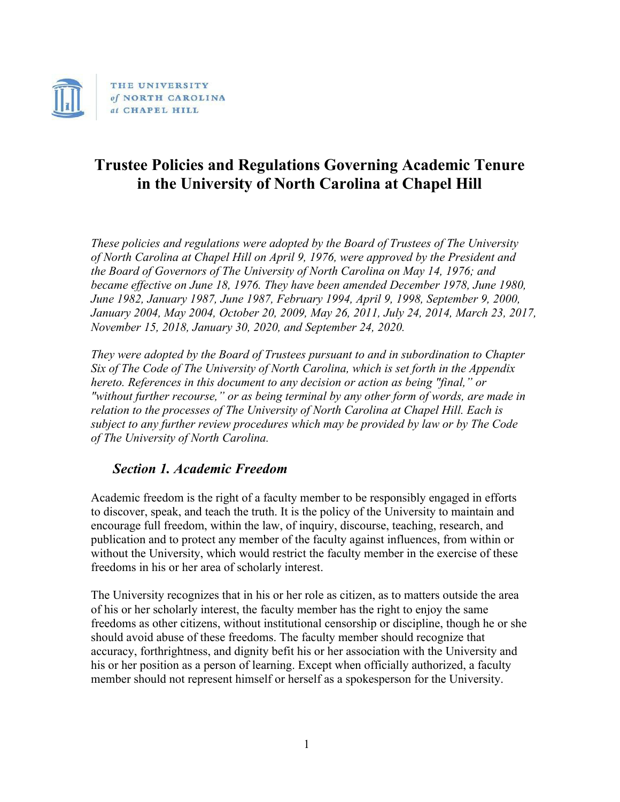

# **Trustee Policies and Regulations Governing Academic Tenure in the University of North Carolina at Chapel Hill**

*These policies and regulations were adopted by the Board of Trustees of The University of North Carolina at Chapel Hill on April 9, 1976, were approved by the President and the Board of Governors of The University of North Carolina on May 14, 1976; and became effective on June 18, 1976. They have been amended December 1978, June 1980, June 1982, January 1987, June 1987, February 1994, April 9, 1998, September 9, 2000, January 2004, May 2004, October 20, 2009, May 26, 2011, July 24, 2014, March 23, 2017, November 15, 2018, January 30, 2020, and September 24, 2020.*

*They were adopted by the Board of Trustees pursuant to and in subordination to Chapter Six of The Code of The University of North Carolina, which is set forth in the Appendix hereto. References in this document to any decision or action as being "final," or "without further recourse," or as being terminal by any other form of words, are made in*  relation to the processes of The University of North Carolina at Chapel Hill. Each is *subject to any further review procedures which may be provided by law or by The Code of The University of North Carolina.*

## *Section 1. Academic Freedom*

Academic freedom is the right of a faculty member to be responsibly engaged in efforts to discover, speak, and teach the truth. It is the policy of the University to maintain and encourage full freedom, within the law, of inquiry, discourse, teaching, research, and publication and to protect any member of the faculty against influences, from within or without the University, which would restrict the faculty member in the exercise of these freedoms in his or her area of scholarly interest.

The University recognizes that in his or her role as citizen, as to matters outside the area of his or her scholarly interest, the faculty member has the right to enjoy the same freedoms as other citizens, without institutional censorship or discipline, though he or she should avoid abuse of these freedoms. The faculty member should recognize that accuracy, forthrightness, and dignity befit his or her association with the University and his or her position as a person of learning. Except when officially authorized, a faculty member should not represent himself or herself as a spokesperson for the University.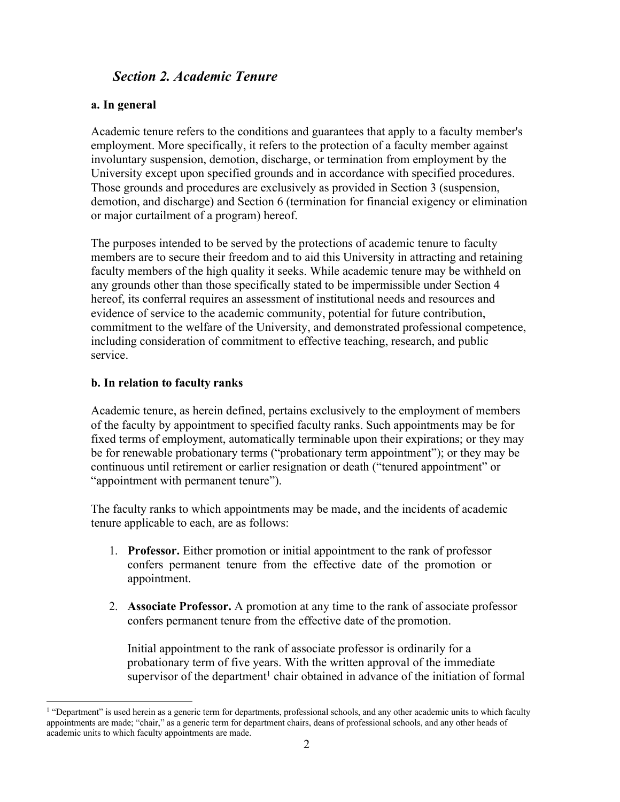## *Section 2. Academic Tenure*

#### **a. In general**

Academic tenure refers to the conditions and guarantees that apply to a faculty member's employment. More specifically, it refers to the protection of a faculty member against involuntary suspension, demotion, discharge, or termination from employment by the University except upon specified grounds and in accordance with specified procedures. Those grounds and procedures are exclusively as provided in Section 3 (suspension, demotion, and discharge) and Section 6 (termination for financial exigency or elimination or major curtailment of a program) hereof.

The purposes intended to be served by the protections of academic tenure to faculty members are to secure their freedom and to aid this University in attracting and retaining faculty members of the high quality it seeks. While academic tenure may be withheld on any grounds other than those specifically stated to be impermissible under Section 4 hereof, its conferral requires an assessment of institutional needs and resources and evidence of service to the academic community, potential for future contribution, commitment to the welfare of the University, and demonstrated professional competence, including consideration of commitment to effective teaching, research, and public service.

#### **b. In relation to faculty ranks**

Academic tenure, as herein defined, pertains exclusively to the employment of members of the faculty by appointment to specified faculty ranks. Such appointments may be for fixed terms of employment, automatically terminable upon their expirations; or they may be for renewable probationary terms ("probationary term appointment"); or they may be continuous until retirement or earlier resignation or death ("tenured appointment" or "appointment with permanent tenure").

The faculty ranks to which appointments may be made, and the incidents of academic tenure applicable to each, are as follows:

- 1. **Professor.** Either promotion or initial appointment to the rank of professor confers permanent tenure from the effective date of the promotion or appointment.
- 2. **Associate Professor.** A promotion at any time to the rank of associate professor confers permanent tenure from the effective date of the promotion.

Initial appointment to the rank of associate professor is ordinarily for a probationary term of five years. With the written approval of the immediate supervisor of the department<sup>1</sup> chair obtained in advance of the initiation of formal

<sup>&</sup>lt;sup>1</sup> "Department" is used herein as a generic term for departments, professional schools, and any other academic units to which faculty appointments are made; "chair," as a generic term for department chairs, deans of professional schools, and any other heads of academic units to which faculty appointments are made.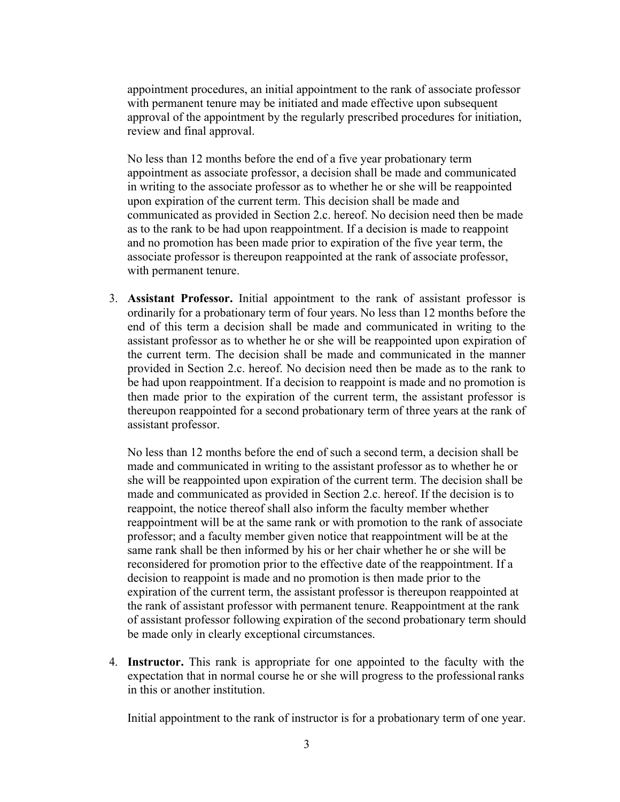appointment procedures, an initial appointment to the rank of associate professor with permanent tenure may be initiated and made effective upon subsequent approval of the appointment by the regularly prescribed procedures for initiation, review and final approval.

No less than 12 months before the end of a five year probationary term appointment as associate professor, a decision shall be made and communicated in writing to the associate professor as to whether he or she will be reappointed upon expiration of the current term. This decision shall be made and communicated as provided in Section 2.c. hereof. No decision need then be made as to the rank to be had upon reappointment. If a decision is made to reappoint and no promotion has been made prior to expiration of the five year term, the associate professor is thereupon reappointed at the rank of associate professor, with permanent tenure.

3. **Assistant Professor.** Initial appointment to the rank of assistant professor is ordinarily for a probationary term of four years. No less than 12 months before the end of this term a decision shall be made and communicated in writing to the assistant professor as to whether he or she will be reappointed upon expiration of the current term. The decision shall be made and communicated in the manner provided in Section 2.c. hereof. No decision need then be made as to the rank to be had upon reappointment. If a decision to reappoint is made and no promotion is then made prior to the expiration of the current term, the assistant professor is thereupon reappointed for a second probationary term of three years at the rank of assistant professor.

No less than 12 months before the end of such a second term, a decision shall be made and communicated in writing to the assistant professor as to whether he or she will be reappointed upon expiration of the current term. The decision shall be made and communicated as provided in Section 2.c. hereof. If the decision is to reappoint, the notice thereof shall also inform the faculty member whether reappointment will be at the same rank or with promotion to the rank of associate professor; and a faculty member given notice that reappointment will be at the same rank shall be then informed by his or her chair whether he or she will be reconsidered for promotion prior to the effective date of the reappointment. If a decision to reappoint is made and no promotion is then made prior to the expiration of the current term, the assistant professor is thereupon reappointed at the rank of assistant professor with permanent tenure. Reappointment at the rank of assistant professor following expiration of the second probationary term should be made only in clearly exceptional circumstances.

4. **Instructor.** This rank is appropriate for one appointed to the faculty with the expectation that in normal course he or she will progress to the professionalranks in this or another institution.

Initial appointment to the rank of instructor is for a probationary term of one year.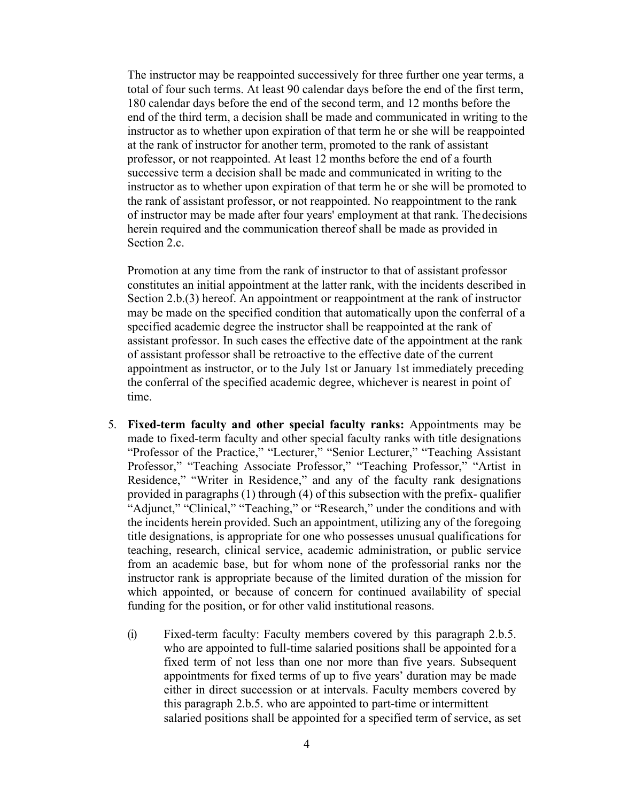The instructor may be reappointed successively for three further one year terms, a total of four such terms. At least 90 calendar days before the end of the first term, 180 calendar days before the end of the second term, and 12 months before the end of the third term, a decision shall be made and communicated in writing to the instructor as to whether upon expiration of that term he or she will be reappointed at the rank of instructor for another term, promoted to the rank of assistant professor, or not reappointed. At least 12 months before the end of a fourth successive term a decision shall be made and communicated in writing to the instructor as to whether upon expiration of that term he or she will be promoted to the rank of assistant professor, or not reappointed. No reappointment to the rank of instructor may be made after four years' employment at that rank. Thedecisions herein required and the communication thereof shall be made as provided in Section 2.c.

Promotion at any time from the rank of instructor to that of assistant professor constitutes an initial appointment at the latter rank, with the incidents described in Section 2.b.(3) hereof. An appointment or reappointment at the rank of instructor may be made on the specified condition that automatically upon the conferral of a specified academic degree the instructor shall be reappointed at the rank of assistant professor. In such cases the effective date of the appointment at the rank of assistant professor shall be retroactive to the effective date of the current appointment as instructor, or to the July 1st or January 1st immediately preceding the conferral of the specified academic degree, whichever is nearest in point of time.

- 5. **Fixed-term faculty and other special faculty ranks:** Appointments may be made to fixed-term faculty and other special faculty ranks with title designations "Professor of the Practice," "Lecturer," "Senior Lecturer," "Teaching Assistant Professor," "Teaching Associate Professor," "Teaching Professor," "Artist in Residence," "Writer in Residence," and any of the faculty rank designations provided in paragraphs (1) through (4) of this subsection with the prefix- qualifier "Adjunct," "Clinical," "Teaching," or "Research," under the conditions and with the incidents herein provided. Such an appointment, utilizing any of the foregoing title designations, is appropriate for one who possesses unusual qualifications for teaching, research, clinical service, academic administration, or public service from an academic base, but for whom none of the professorial ranks nor the instructor rank is appropriate because of the limited duration of the mission for which appointed, or because of concern for continued availability of special funding for the position, or for other valid institutional reasons.
	- (i) Fixed-term faculty: Faculty members covered by this paragraph 2.b.5. who are appointed to full-time salaried positions shall be appointed for a fixed term of not less than one nor more than five years. Subsequent appointments for fixed terms of up to five years' duration may be made either in direct succession or at intervals. Faculty members covered by this paragraph 2.b.5. who are appointed to part-time or intermittent salaried positions shall be appointed for a specified term of service, as set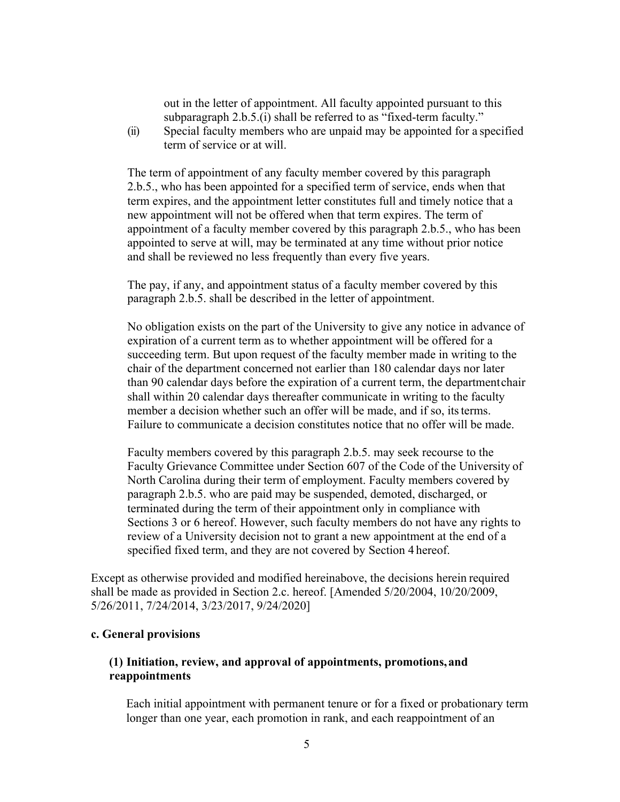out in the letter of appointment. All faculty appointed pursuant to this subparagraph 2.b.5.(i) shall be referred to as "fixed-term faculty."

(ii) Special faculty members who are unpaid may be appointed for a specified term of service or at will.

The term of appointment of any faculty member covered by this paragraph 2.b.5., who has been appointed for a specified term of service, ends when that term expires, and the appointment letter constitutes full and timely notice that a new appointment will not be offered when that term expires. The term of appointment of a faculty member covered by this paragraph 2.b.5., who has been appointed to serve at will, may be terminated at any time without prior notice and shall be reviewed no less frequently than every five years.

The pay, if any, and appointment status of a faculty member covered by this paragraph 2.b.5. shall be described in the letter of appointment.

No obligation exists on the part of the University to give any notice in advance of expiration of a current term as to whether appointment will be offered for a succeeding term. But upon request of the faculty member made in writing to the chair of the department concerned not earlier than 180 calendar days nor later than 90 calendar days before the expiration of a current term, the departmentchair shall within 20 calendar days thereafter communicate in writing to the faculty member a decision whether such an offer will be made, and if so, its terms. Failure to communicate a decision constitutes notice that no offer will be made.

Faculty members covered by this paragraph 2.b.5. may seek recourse to the Faculty Grievance Committee under Section 607 of the Code of the University of North Carolina during their term of employment. Faculty members covered by paragraph 2.b.5. who are paid may be suspended, demoted, discharged, or terminated during the term of their appointment only in compliance with Sections 3 or 6 hereof. However, such faculty members do not have any rights to review of a University decision not to grant a new appointment at the end of a specified fixed term, and they are not covered by Section 4 hereof.

Except as otherwise provided and modified hereinabove, the decisions herein required shall be made as provided in Section 2.c. hereof. [Amended 5/20/2004, 10/20/2009, 5/26/2011, 7/24/2014, 3/23/2017, 9/24/2020]

#### **c. General provisions**

### **(1) Initiation, review, and approval of appointments, promotions,and reappointments**

Each initial appointment with permanent tenure or for a fixed or probationary term longer than one year, each promotion in rank, and each reappointment of an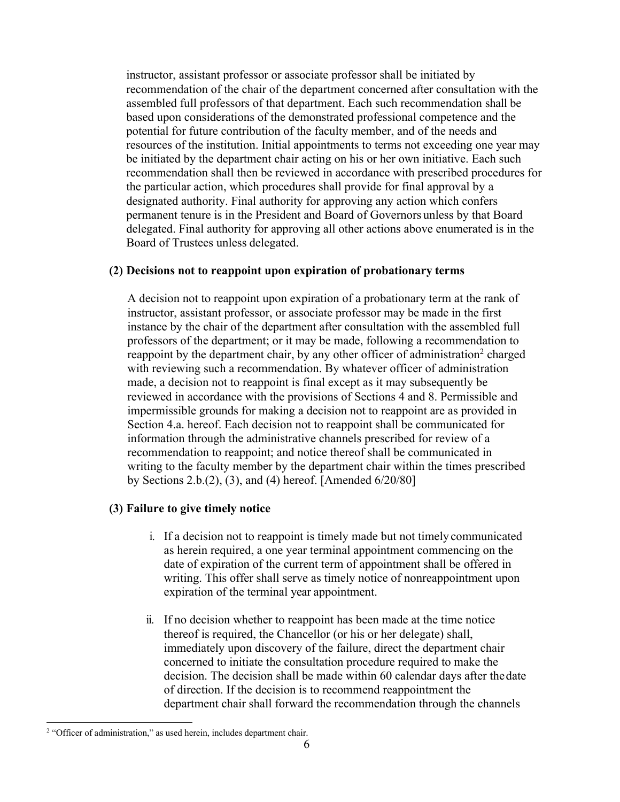instructor, assistant professor or associate professor shall be initiated by recommendation of the chair of the department concerned after consultation with the assembled full professors of that department. Each such recommendation shall be based upon considerations of the demonstrated professional competence and the potential for future contribution of the faculty member, and of the needs and resources of the institution. Initial appointments to terms not exceeding one year may be initiated by the department chair acting on his or her own initiative. Each such recommendation shall then be reviewed in accordance with prescribed procedures for the particular action, which procedures shall provide for final approval by a designated authority. Final authority for approving any action which confers permanent tenure is in the President and Board of Governors unless by that Board delegated. Final authority for approving all other actions above enumerated is in the Board of Trustees unless delegated.

#### **(2) Decisions not to reappoint upon expiration of probationary terms**

A decision not to reappoint upon expiration of a probationary term at the rank of instructor, assistant professor, or associate professor may be made in the first instance by the chair of the department after consultation with the assembled full professors of the department; or it may be made, following a recommendation to reappoint by the department chair, by any other officer of administration<sup>2</sup> charged with reviewing such a recommendation. By whatever officer of administration made, a decision not to reappoint is final except as it may subsequently be reviewed in accordance with the provisions of Sections 4 and 8. Permissible and impermissible grounds for making a decision not to reappoint are as provided in Section 4.a. hereof. Each decision not to reappoint shall be communicated for information through the administrative channels prescribed for review of a recommendation to reappoint; and notice thereof shall be communicated in writing to the faculty member by the department chair within the times prescribed by Sections 2.b.(2), (3), and (4) hereof. [Amended 6/20/80]

#### **(3) Failure to give timely notice**

- i. If a decision not to reappoint is timely made but not timely communicated as herein required, a one year terminal appointment commencing on the date of expiration of the current term of appointment shall be offered in writing. This offer shall serve as timely notice of nonreappointment upon expiration of the terminal year appointment.
- ii. If no decision whether to reappoint has been made at the time notice thereof is required, the Chancellor (or his or her delegate) shall, immediately upon discovery of the failure, direct the department chair concerned to initiate the consultation procedure required to make the decision. The decision shall be made within 60 calendar days after thedate of direction. If the decision is to recommend reappointment the department chair shall forward the recommendation through the channels

<sup>&</sup>lt;sup>2</sup> "Officer of administration," as used herein, includes department chair.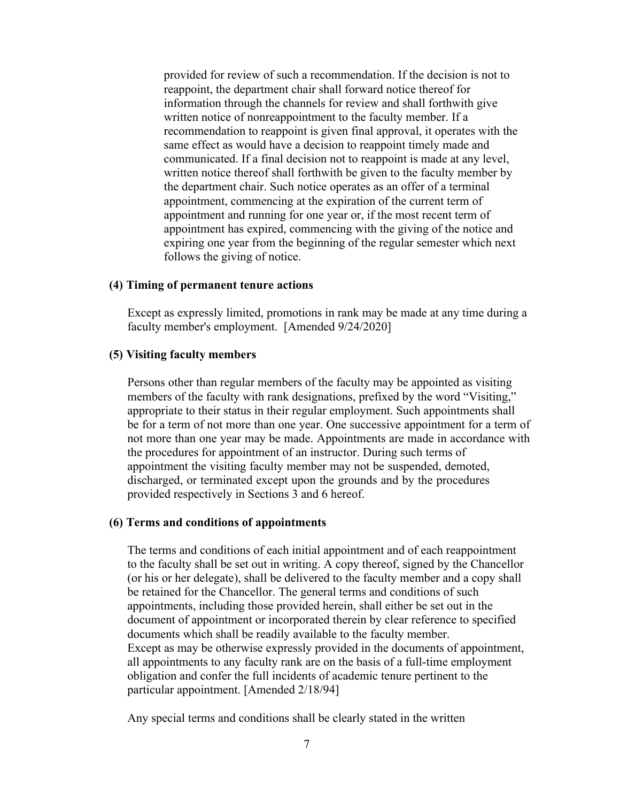provided for review of such a recommendation. If the decision is not to reappoint, the department chair shall forward notice thereof for information through the channels for review and shall forthwith give written notice of nonreappointment to the faculty member. If a recommendation to reappoint is given final approval, it operates with the same effect as would have a decision to reappoint timely made and communicated. If a final decision not to reappoint is made at any level, written notice thereof shall forthwith be given to the faculty member by the department chair. Such notice operates as an offer of a terminal appointment, commencing at the expiration of the current term of appointment and running for one year or, if the most recent term of appointment has expired, commencing with the giving of the notice and expiring one year from the beginning of the regular semester which next follows the giving of notice.

#### **(4) Timing of permanent tenure actions**

Except as expressly limited, promotions in rank may be made at any time during a faculty member's employment. [Amended 9/24/2020]

#### **(5) Visiting faculty members**

Persons other than regular members of the faculty may be appointed as visiting members of the faculty with rank designations, prefixed by the word "Visiting," appropriate to their status in their regular employment. Such appointments shall be for a term of not more than one year. One successive appointment for a term of not more than one year may be made. Appointments are made in accordance with the procedures for appointment of an instructor. During such terms of appointment the visiting faculty member may not be suspended, demoted, discharged, or terminated except upon the grounds and by the procedures provided respectively in Sections 3 and 6 hereof.

#### **(6) Terms and conditions of appointments**

The terms and conditions of each initial appointment and of each reappointment to the faculty shall be set out in writing. A copy thereof, signed by the Chancellor (or his or her delegate), shall be delivered to the faculty member and a copy shall be retained for the Chancellor. The general terms and conditions of such appointments, including those provided herein, shall either be set out in the document of appointment or incorporated therein by clear reference to specified documents which shall be readily available to the faculty member. Except as may be otherwise expressly provided in the documents of appointment, all appointments to any faculty rank are on the basis of a full-time employment obligation and confer the full incidents of academic tenure pertinent to the particular appointment. [Amended 2/18/94]

Any special terms and conditions shall be clearly stated in the written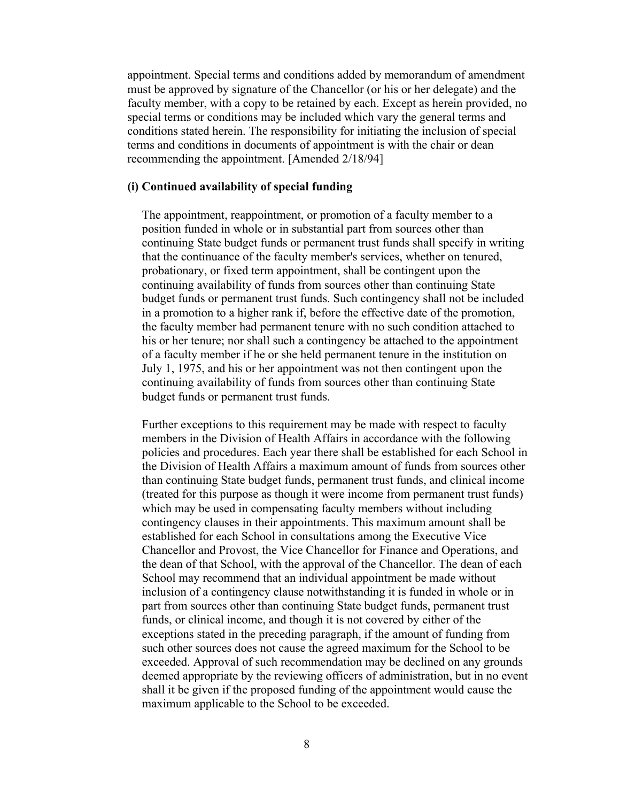appointment. Special terms and conditions added by memorandum of amendment must be approved by signature of the Chancellor (or his or her delegate) and the faculty member, with a copy to be retained by each. Except as herein provided, no special terms or conditions may be included which vary the general terms and conditions stated herein. The responsibility for initiating the inclusion of special terms and conditions in documents of appointment is with the chair or dean recommending the appointment. [Amended 2/18/94]

#### **(i) Continued availability of special funding**

The appointment, reappointment, or promotion of a faculty member to a position funded in whole or in substantial part from sources other than continuing State budget funds or permanent trust funds shall specify in writing that the continuance of the faculty member's services, whether on tenured, probationary, or fixed term appointment, shall be contingent upon the continuing availability of funds from sources other than continuing State budget funds or permanent trust funds. Such contingency shall not be included in a promotion to a higher rank if, before the effective date of the promotion, the faculty member had permanent tenure with no such condition attached to his or her tenure; nor shall such a contingency be attached to the appointment of a faculty member if he or she held permanent tenure in the institution on July 1, 1975, and his or her appointment was not then contingent upon the continuing availability of funds from sources other than continuing State budget funds or permanent trust funds.

Further exceptions to this requirement may be made with respect to faculty members in the Division of Health Affairs in accordance with the following policies and procedures. Each year there shall be established for each School in the Division of Health Affairs a maximum amount of funds from sources other than continuing State budget funds, permanent trust funds, and clinical income (treated for this purpose as though it were income from permanent trust funds) which may be used in compensating faculty members without including contingency clauses in their appointments. This maximum amount shall be established for each School in consultations among the Executive Vice Chancellor and Provost, the Vice Chancellor for Finance and Operations, and the dean of that School, with the approval of the Chancellor. The dean of each School may recommend that an individual appointment be made without inclusion of a contingency clause notwithstanding it is funded in whole or in part from sources other than continuing State budget funds, permanent trust funds, or clinical income, and though it is not covered by either of the exceptions stated in the preceding paragraph, if the amount of funding from such other sources does not cause the agreed maximum for the School to be exceeded. Approval of such recommendation may be declined on any grounds deemed appropriate by the reviewing officers of administration, but in no event shall it be given if the proposed funding of the appointment would cause the maximum applicable to the School to be exceeded.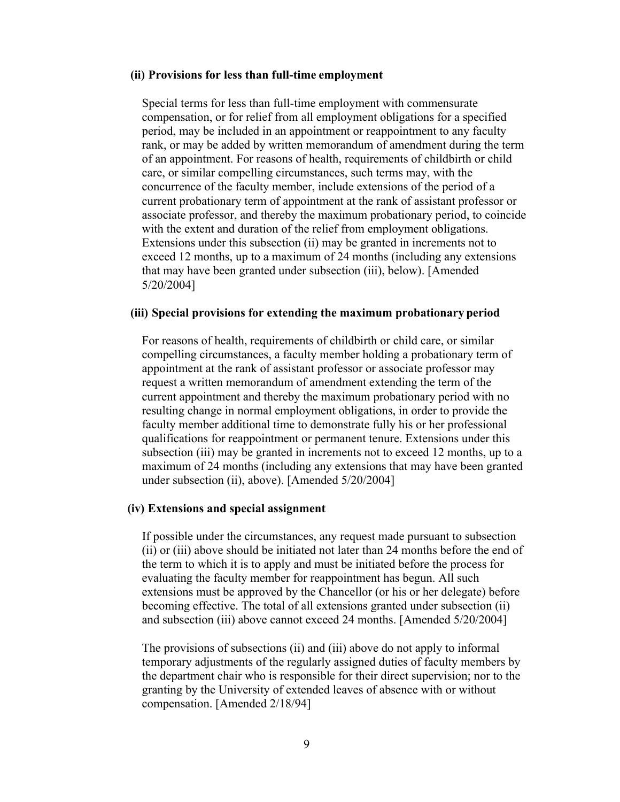#### **(ii) Provisions for less than full-time employment**

Special terms for less than full-time employment with commensurate compensation, or for relief from all employment obligations for a specified period, may be included in an appointment or reappointment to any faculty rank, or may be added by written memorandum of amendment during the term of an appointment. For reasons of health, requirements of childbirth or child care, or similar compelling circumstances, such terms may, with the concurrence of the faculty member, include extensions of the period of a current probationary term of appointment at the rank of assistant professor or associate professor, and thereby the maximum probationary period, to coincide with the extent and duration of the relief from employment obligations. Extensions under this subsection (ii) may be granted in increments not to exceed 12 months, up to a maximum of 24 months (including any extensions that may have been granted under subsection (iii), below). [Amended 5/20/2004]

#### **(iii) Special provisions for extending the maximum probationary period**

For reasons of health, requirements of childbirth or child care, or similar compelling circumstances, a faculty member holding a probationary term of appointment at the rank of assistant professor or associate professor may request a written memorandum of amendment extending the term of the current appointment and thereby the maximum probationary period with no resulting change in normal employment obligations, in order to provide the faculty member additional time to demonstrate fully his or her professional qualifications for reappointment or permanent tenure. Extensions under this subsection (iii) may be granted in increments not to exceed 12 months, up to a maximum of 24 months (including any extensions that may have been granted under subsection (ii), above). [Amended 5/20/2004]

#### **(iv) Extensions and special assignment**

If possible under the circumstances, any request made pursuant to subsection (ii) or (iii) above should be initiated not later than 24 months before the end of the term to which it is to apply and must be initiated before the process for evaluating the faculty member for reappointment has begun. All such extensions must be approved by the Chancellor (or his or her delegate) before becoming effective. The total of all extensions granted under subsection (ii) and subsection (iii) above cannot exceed 24 months. [Amended 5/20/2004]

The provisions of subsections (ii) and (iii) above do not apply to informal temporary adjustments of the regularly assigned duties of faculty members by the department chair who is responsible for their direct supervision; nor to the granting by the University of extended leaves of absence with or without compensation. [Amended 2/18/94]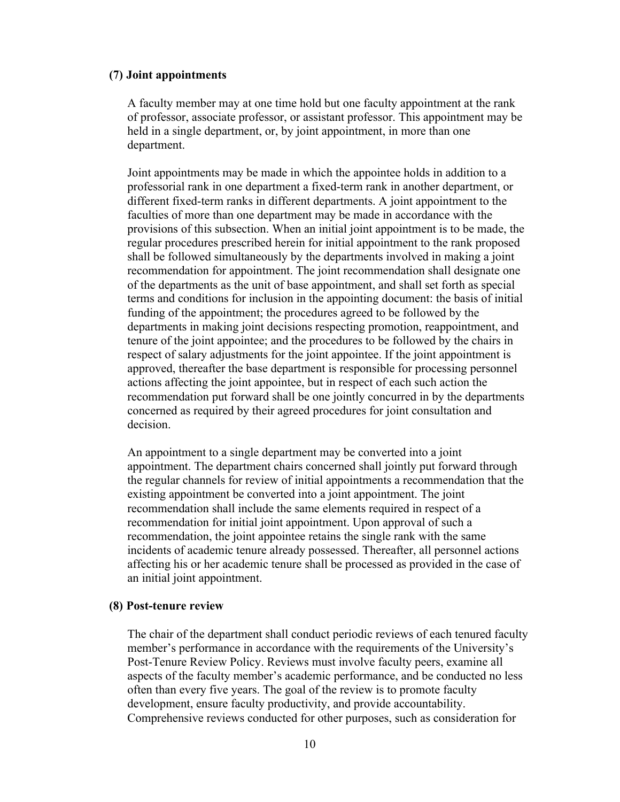#### **(7) Joint appointments**

A faculty member may at one time hold but one faculty appointment at the rank of professor, associate professor, or assistant professor. This appointment may be held in a single department, or, by joint appointment, in more than one department.

Joint appointments may be made in which the appointee holds in addition to a professorial rank in one department a fixed-term rank in another department, or different fixed-term ranks in different departments. A joint appointment to the faculties of more than one department may be made in accordance with the provisions of this subsection. When an initial joint appointment is to be made, the regular procedures prescribed herein for initial appointment to the rank proposed shall be followed simultaneously by the departments involved in making a joint recommendation for appointment. The joint recommendation shall designate one of the departments as the unit of base appointment, and shall set forth as special terms and conditions for inclusion in the appointing document: the basis of initial funding of the appointment; the procedures agreed to be followed by the departments in making joint decisions respecting promotion, reappointment, and tenure of the joint appointee; and the procedures to be followed by the chairs in respect of salary adjustments for the joint appointee. If the joint appointment is approved, thereafter the base department is responsible for processing personnel actions affecting the joint appointee, but in respect of each such action the recommendation put forward shall be one jointly concurred in by the departments concerned as required by their agreed procedures for joint consultation and decision.

An appointment to a single department may be converted into a joint appointment. The department chairs concerned shall jointly put forward through the regular channels for review of initial appointments a recommendation that the existing appointment be converted into a joint appointment. The joint recommendation shall include the same elements required in respect of a recommendation for initial joint appointment. Upon approval of such a recommendation, the joint appointee retains the single rank with the same incidents of academic tenure already possessed. Thereafter, all personnel actions affecting his or her academic tenure shall be processed as provided in the case of an initial joint appointment.

#### **(8) Post-tenure review**

The chair of the department shall conduct periodic reviews of each tenured faculty member's performance in accordance with the requirements of the University's Post-Tenure Review Policy. Reviews must involve faculty peers, examine all aspects of the faculty member's academic performance, and be conducted no less often than every five years. The goal of the review is to promote faculty development, ensure faculty productivity, and provide accountability. Comprehensive reviews conducted for other purposes, such as consideration for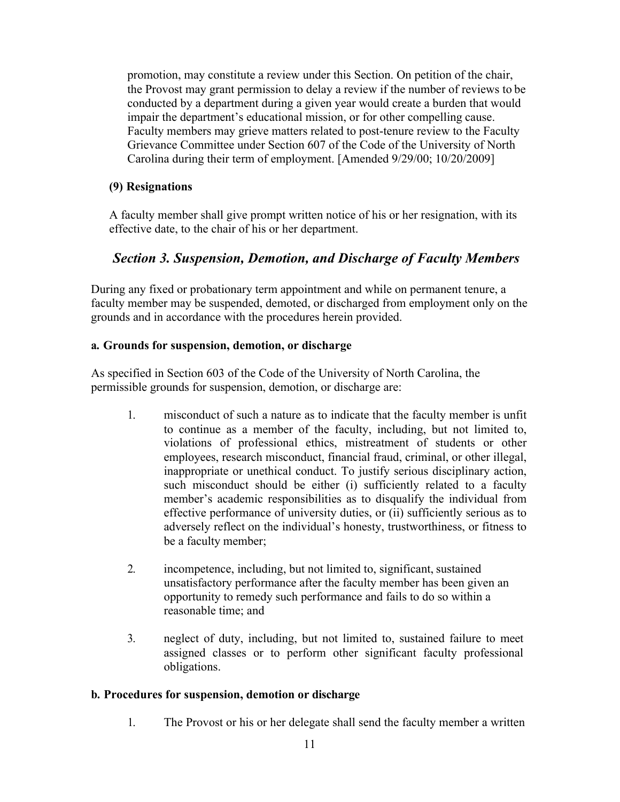promotion, may constitute a review under this Section. On petition of the chair, the Provost may grant permission to delay a review if the number of reviews to be conducted by a department during a given year would create a burden that would impair the department's educational mission, or for other compelling cause. Faculty members may grieve matters related to post-tenure review to the Faculty Grievance Committee under Section 607 of the Code of the University of North Carolina during their term of employment. [Amended 9/29/00; 10/20/2009]

## **(9) Resignations**

A faculty member shall give prompt written notice of his or her resignation, with its effective date, to the chair of his or her department.

## *Section 3. Suspension, Demotion, and Discharge of Faculty Members*

During any fixed or probationary term appointment and while on permanent tenure, a faculty member may be suspended, demoted, or discharged from employment only on the grounds and in accordance with the procedures herein provided.

## **a. Grounds for suspension, demotion, or discharge**

As specified in Section 603 of the Code of the University of North Carolina, the permissible grounds for suspension, demotion, or discharge are:

- 1. misconduct of such a nature as to indicate that the faculty member is unfit to continue as a member of the faculty, including, but not limited to, violations of professional ethics, mistreatment of students or other employees, research misconduct, financial fraud, criminal, or other illegal, inappropriate or unethical conduct. To justify serious disciplinary action, such misconduct should be either (i) sufficiently related to a faculty member's academic responsibilities as to disqualify the individual from effective performance of university duties, or (ii) sufficiently serious as to adversely reflect on the individual's honesty, trustworthiness, or fitness to be a faculty member;
- 2. incompetence, including, but not limited to, significant, sustained unsatisfactory performance after the faculty member has been given an opportunity to remedy such performance and fails to do so within a reasonable time; and
- 3. neglect of duty, including, but not limited to, sustained failure to meet assigned classes or to perform other significant faculty professional obligations.

#### **b. Procedures for suspension, demotion or discharge**

1. The Provost or his or her delegate shall send the faculty member a written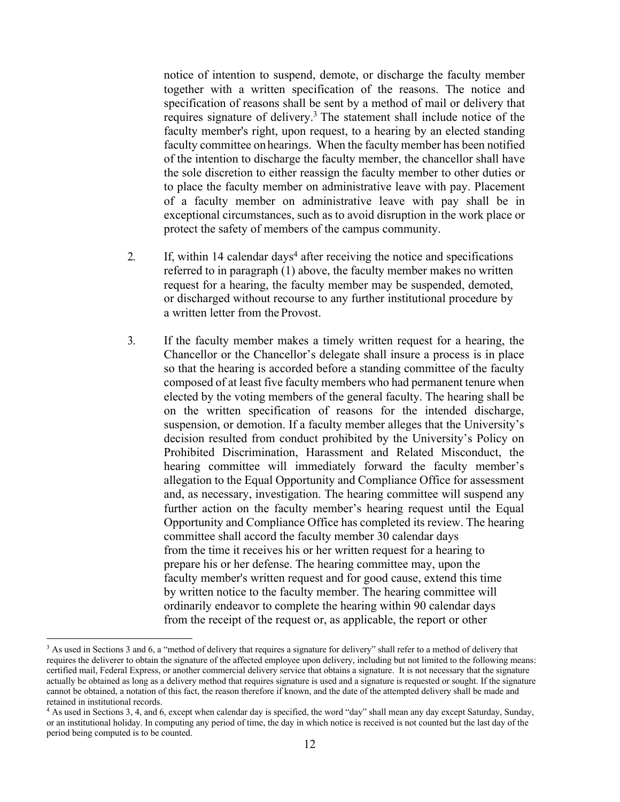notice of intention to suspend, demote, or discharge the faculty member together with a written specification of the reasons. The notice and specification of reasons shall be sent by a method of mail or delivery that requires signature of delivery. <sup>3</sup> The statement shall include notice of the faculty member's right, upon request, to a hearing by an elected standing faculty committee on hearings. When the faculty member has been notified of the intention to discharge the faculty member, the chancellor shall have the sole discretion to either reassign the faculty member to other duties or to place the faculty member on administrative leave with pay. Placement of a faculty member on administrative leave with pay shall be in exceptional circumstances, such as to avoid disruption in the work place or protect the safety of members of the campus community.

- 2. If, within 14 calendar days<sup>4</sup> after receiving the notice and specifications referred to in paragraph (1) above, the faculty member makes no written request for a hearing, the faculty member may be suspended, demoted, or discharged without recourse to any further institutional procedure by a written letter from the Provost.
- 3. If the faculty member makes a timely written request for a hearing, the Chancellor or the Chancellor's delegate shall insure a process is in place so that the hearing is accorded before a standing committee of the faculty composed of at least five faculty members who had permanent tenure when elected by the voting members of the general faculty. The hearing shall be on the written specification of reasons for the intended discharge, suspension, or demotion. If a faculty member alleges that the University's decision resulted from conduct prohibited by the University's Policy on Prohibited Discrimination, Harassment and Related Misconduct, the hearing committee will immediately forward the faculty member's allegation to the Equal Opportunity and Compliance Office for assessment and, as necessary, investigation. The hearing committee will suspend any further action on the faculty member's hearing request until the Equal Opportunity and Compliance Office has completed its review. The hearing committee shall accord the faculty member 30 calendar days from the time it receives his or her written request for a hearing to prepare his or her defense. The hearing committee may, upon the faculty member's written request and for good cause, extend this time by written notice to the faculty member. The hearing committee will ordinarily endeavor to complete the hearing within 90 calendar days from the receipt of the request or, as applicable, the report or other

<sup>&</sup>lt;sup>3</sup> As used in Sections 3 and 6, a "method of delivery that requires a signature for delivery" shall refer to a method of delivery that requires the deliverer to obtain the signature of the affected employee upon delivery, including but not limited to the following means: certified mail, Federal Express, or another commercial delivery service that obtains a signature. It is not necessary that the signature actually be obtained as long as a delivery method that requires signature is used and a signature is requested or sought. If the signature cannot be obtained, a notation of this fact, the reason therefore if known, and the date of the attempted delivery shall be made and retained in institutional records.

<sup>4</sup> As used in Sections 3, 4, and 6, except when calendar day is specified, the word "day" shall mean any day except Saturday, Sunday, or an institutional holiday. In computing any period of time, the day in which notice is received is not counted but the last day of the period being computed is to be counted.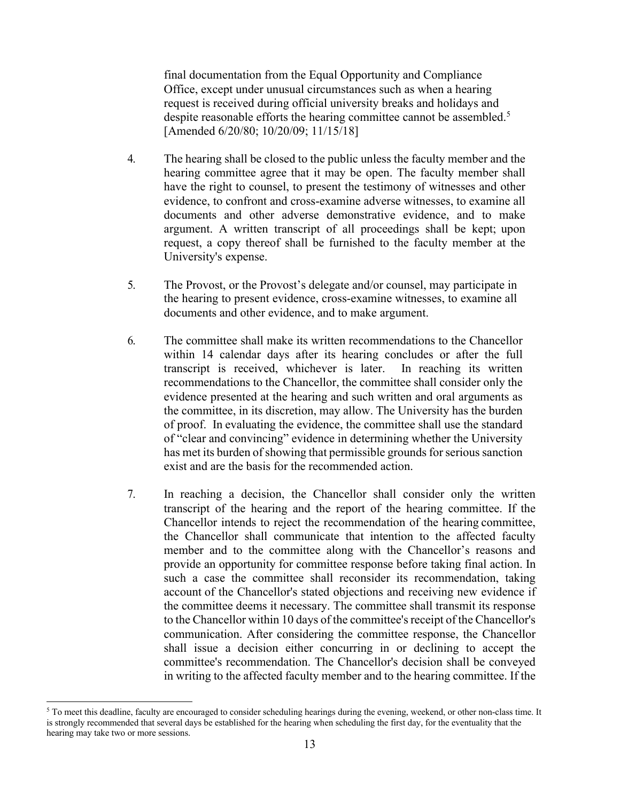final documentation from the Equal Opportunity and Compliance Office, except under unusual circumstances such as when a hearing request is received during official university breaks and holidays and despite reasonable efforts the hearing committee cannot be assembled.<sup>5</sup> [Amended 6/20/80; 10/20/09; 11/15/18]

- 4. The hearing shall be closed to the public unless the faculty member and the hearing committee agree that it may be open. The faculty member shall have the right to counsel, to present the testimony of witnesses and other evidence, to confront and cross-examine adverse witnesses, to examine all documents and other adverse demonstrative evidence, and to make argument. A written transcript of all proceedings shall be kept; upon request, a copy thereof shall be furnished to the faculty member at the University's expense.
- 5. The Provost, or the Provost's delegate and/or counsel, may participate in the hearing to present evidence, cross-examine witnesses, to examine all documents and other evidence, and to make argument.
- 6. The committee shall make its written recommendations to the Chancellor within 14 calendar days after its hearing concludes or after the full transcript is received, whichever is later. In reaching its written recommendations to the Chancellor, the committee shall consider only the evidence presented at the hearing and such written and oral arguments as the committee, in its discretion, may allow. The University has the burden of proof. In evaluating the evidence, the committee shall use the standard of "clear and convincing" evidence in determining whether the University has met its burden of showing that permissible grounds for serious sanction exist and are the basis for the recommended action.
- 7. In reaching a decision, the Chancellor shall consider only the written transcript of the hearing and the report of the hearing committee. If the Chancellor intends to reject the recommendation of the hearing committee, the Chancellor shall communicate that intention to the affected faculty member and to the committee along with the Chancellor's reasons and provide an opportunity for committee response before taking final action. In such a case the committee shall reconsider its recommendation, taking account of the Chancellor's stated objections and receiving new evidence if the committee deems it necessary. The committee shall transmit its response to the Chancellor within 10 days of the committee's receipt of the Chancellor's communication. After considering the committee response, the Chancellor shall issue a decision either concurring in or declining to accept the committee's recommendation. The Chancellor's decision shall be conveyed in writing to the affected faculty member and to the hearing committee. If the

<sup>&</sup>lt;sup>5</sup> To meet this deadline, faculty are encouraged to consider scheduling hearings during the evening, weekend, or other non-class time. It is strongly recommended that several days be established for the hearing when scheduling the first day, for the eventuality that the hearing may take two or more sessions.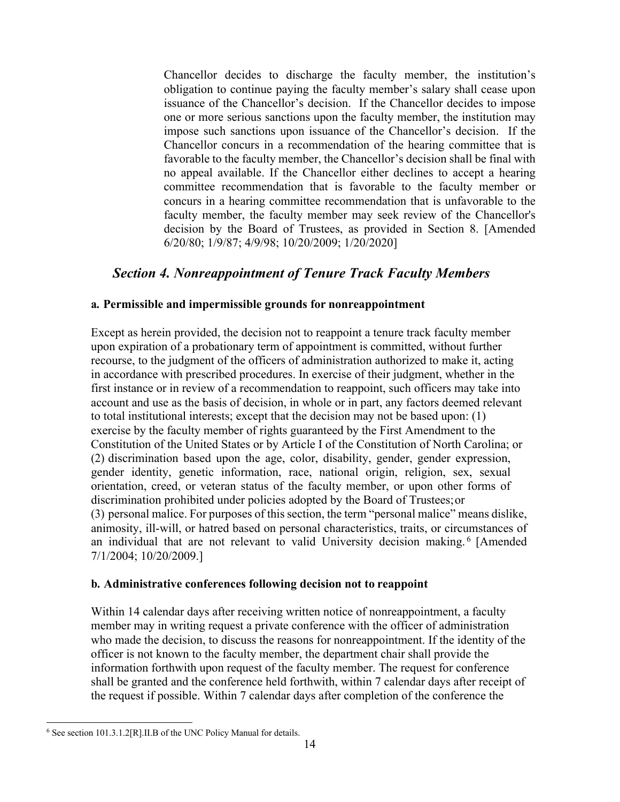Chancellor decides to discharge the faculty member, the institution's obligation to continue paying the faculty member's salary shall cease upon issuance of the Chancellor's decision. If the Chancellor decides to impose one or more serious sanctions upon the faculty member, the institution may impose such sanctions upon issuance of the Chancellor's decision. If the Chancellor concurs in a recommendation of the hearing committee that is favorable to the faculty member, the Chancellor's decision shall be final with no appeal available. If the Chancellor either declines to accept a hearing committee recommendation that is favorable to the faculty member or concurs in a hearing committee recommendation that is unfavorable to the faculty member, the faculty member may seek review of the Chancellor's decision by the Board of Trustees, as provided in Section 8. [Amended 6/20/80; 1/9/87; 4/9/98; 10/20/2009; 1/20/2020]

## *Section 4. Nonreappointment of Tenure Track Faculty Members*

## **a. Permissible and impermissible grounds for nonreappointment**

Except as herein provided, the decision not to reappoint a tenure track faculty member upon expiration of a probationary term of appointment is committed, without further recourse, to the judgment of the officers of administration authorized to make it, acting in accordance with prescribed procedures. In exercise of their judgment, whether in the first instance or in review of a recommendation to reappoint, such officers may take into account and use as the basis of decision, in whole or in part, any factors deemed relevant to total institutional interests; except that the decision may not be based upon: (1) exercise by the faculty member of rights guaranteed by the First Amendment to the Constitution of the United States or by Article I of the Constitution of North Carolina; or (2) discrimination based upon the age, color, disability, gender, gender expression, gender identity, genetic information, race, national origin, religion, sex, sexual orientation, creed, or veteran status of the faculty member, or upon other forms of discrimination prohibited under policies adopted by the Board of Trustees;or (3) personal malice. For purposes of this section, the term "personal malice" means dislike, animosity, ill-will, or hatred based on personal characteristics, traits, or circumstances of an individual that are not relevant to valid University decision making. <sup>6</sup> [Amended 7/1/2004; 10/20/2009.]

#### **b. Administrative conferences following decision not to reappoint**

Within 14 calendar days after receiving written notice of nonreappointment, a faculty member may in writing request a private conference with the officer of administration who made the decision, to discuss the reasons for nonreappointment. If the identity of the officer is not known to the faculty member, the department chair shall provide the information forthwith upon request of the faculty member. The request for conference shall be granted and the conference held forthwith, within 7 calendar days after receipt of the request if possible. Within 7 calendar days after completion of the conference the

<sup>6</sup> See section 101.3.1.2[R].II.B of the UNC Policy Manual for details.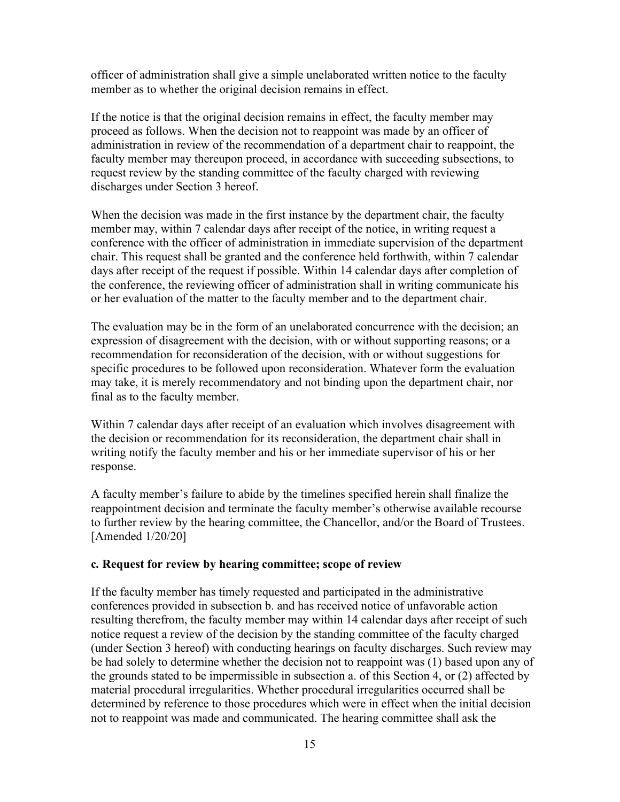officer of administration shall give a simple unelaborated written notice to the faculty member as to whether the original decision remains in effect.

If the notice is that the original decision remains in effect, the faculty member may proceed as follows. When the decision not to reappoint was made by an officer of administration in review of the recommendation of a department chair to reappoint, the faculty member may thereupon proceed, in accordance with succeeding subsections, to request review by the standing committee of the faculty charged with reviewing discharges under Section 3 hereof.

When the decision was made in the first instance by the department chair, the faculty member may, within 7 calendar days after receipt of the notice, in writing request a conference with the officer of administration in immediate supervision of the department chair. This request shall be granted and the conference held forthwith, within 7 calendar days after receipt of the request if possible. Within 14 calendar days after completion of the conference, the reviewing officer of administration shall in writing communicate his or her evaluation of the matter to the faculty member and to the department chair.

The evaluation may be in the form of an unelaborated concurrence with the decision; an expression of disagreement with the decision, with or without supporting reasons; or a recommendation for reconsideration of the decision, with or without suggestions for specific procedures to be followed upon reconsideration. Whatever form the evaluation may take, it is merely recommendatory and not binding upon the department chair, nor final as to the faculty member.

Within 7 calendar days after receipt of an evaluation which involves disagreement with the decision or recommendation for its reconsideration, the department chair shall in writing notify the faculty member and his or her immediate supervisor of his or her response.

A faculty member's failure to abide by the timelines specified herein shall finalize the reappointment decision and terminate the faculty member's otherwise available recourse to further review by the hearing committee, the Chancellor, and/or the Board of Trustees. [Amended 1/20/20]

#### **c. Request for review by hearing committee; scope of review**

If the faculty member has timely requested and participated in the administrative conferences provided in subsection b. and has received notice of unfavorable action resulting therefrom, the faculty member may within 14 calendar days after receipt of such notice request a review of the decision by the standing committee of the faculty charged (under Section 3 hereof) with conducting hearings on faculty discharges. Such review may be had solely to determine whether the decision not to reappoint was (1) based upon any of the grounds stated to be impermissible in subsection a. of this Section 4, or (2) affected by material procedural irregularities. Whether procedural irregularities occurred shall be determined by reference to those procedures which were in effect when the initial decision not to reappoint was made and communicated. The hearing committee shall ask the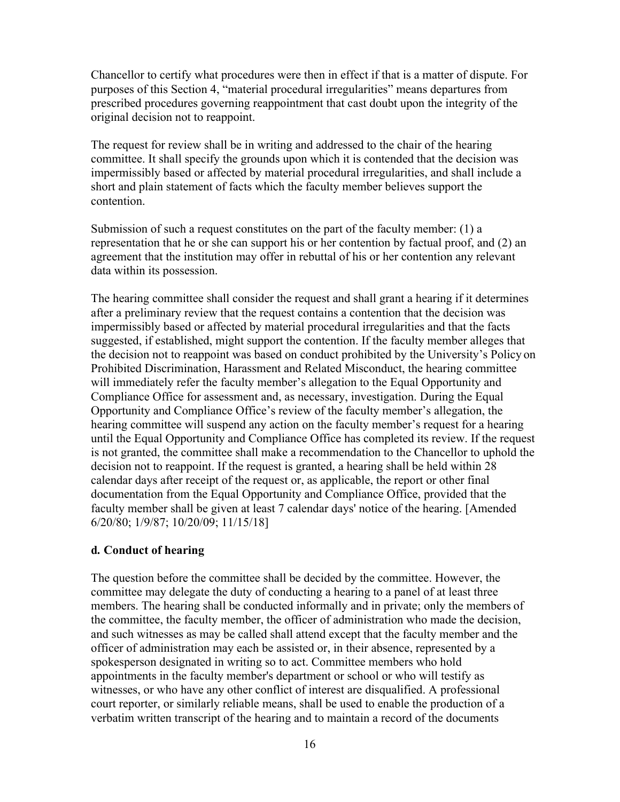Chancellor to certify what procedures were then in effect if that is a matter of dispute. For purposes of this Section 4, "material procedural irregularities" means departures from prescribed procedures governing reappointment that cast doubt upon the integrity of the original decision not to reappoint.

The request for review shall be in writing and addressed to the chair of the hearing committee. It shall specify the grounds upon which it is contended that the decision was impermissibly based or affected by material procedural irregularities, and shall include a short and plain statement of facts which the faculty member believes support the contention.

Submission of such a request constitutes on the part of the faculty member: (1) a representation that he or she can support his or her contention by factual proof, and (2) an agreement that the institution may offer in rebuttal of his or her contention any relevant data within its possession.

The hearing committee shall consider the request and shall grant a hearing if it determines after a preliminary review that the request contains a contention that the decision was impermissibly based or affected by material procedural irregularities and that the facts suggested, if established, might support the contention. If the faculty member alleges that the decision not to reappoint was based on conduct prohibited by the University's Policy on Prohibited Discrimination, Harassment and Related Misconduct, the hearing committee will immediately refer the faculty member's allegation to the Equal Opportunity and Compliance Office for assessment and, as necessary, investigation. During the Equal Opportunity and Compliance Office's review of the faculty member's allegation, the hearing committee will suspend any action on the faculty member's request for a hearing until the Equal Opportunity and Compliance Office has completed its review. If the request is not granted, the committee shall make a recommendation to the Chancellor to uphold the decision not to reappoint. If the request is granted, a hearing shall be held within 28 calendar days after receipt of the request or, as applicable, the report or other final documentation from the Equal Opportunity and Compliance Office, provided that the faculty member shall be given at least 7 calendar days' notice of the hearing. [Amended 6/20/80; 1/9/87; 10/20/09; 11/15/18]

#### **d. Conduct of hearing**

The question before the committee shall be decided by the committee. However, the committee may delegate the duty of conducting a hearing to a panel of at least three members. The hearing shall be conducted informally and in private; only the members of the committee, the faculty member, the officer of administration who made the decision, and such witnesses as may be called shall attend except that the faculty member and the officer of administration may each be assisted or, in their absence, represented by a spokesperson designated in writing so to act. Committee members who hold appointments in the faculty member's department or school or who will testify as witnesses, or who have any other conflict of interest are disqualified. A professional court reporter, or similarly reliable means, shall be used to enable the production of a verbatim written transcript of the hearing and to maintain a record of the documents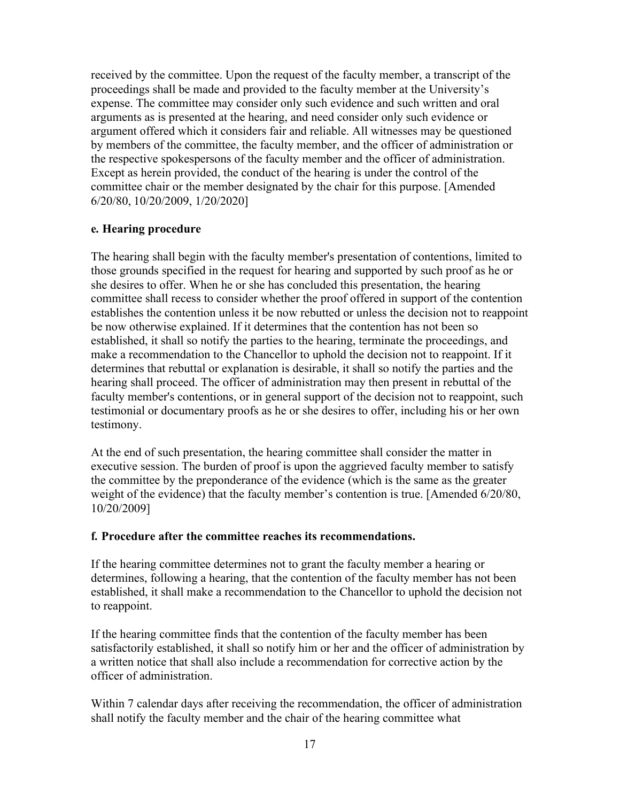received by the committee. Upon the request of the faculty member, a transcript of the proceedings shall be made and provided to the faculty member at the University's expense. The committee may consider only such evidence and such written and oral arguments as is presented at the hearing, and need consider only such evidence or argument offered which it considers fair and reliable. All witnesses may be questioned by members of the committee, the faculty member, and the officer of administration or the respective spokespersons of the faculty member and the officer of administration. Except as herein provided, the conduct of the hearing is under the control of the committee chair or the member designated by the chair for this purpose. [Amended 6/20/80, 10/20/2009, 1/20/2020]

#### **e. Hearing procedure**

The hearing shall begin with the faculty member's presentation of contentions, limited to those grounds specified in the request for hearing and supported by such proof as he or she desires to offer. When he or she has concluded this presentation, the hearing committee shall recess to consider whether the proof offered in support of the contention establishes the contention unless it be now rebutted or unless the decision not to reappoint be now otherwise explained. If it determines that the contention has not been so established, it shall so notify the parties to the hearing, terminate the proceedings, and make a recommendation to the Chancellor to uphold the decision not to reappoint. If it determines that rebuttal or explanation is desirable, it shall so notify the parties and the hearing shall proceed. The officer of administration may then present in rebuttal of the faculty member's contentions, or in general support of the decision not to reappoint, such testimonial or documentary proofs as he or she desires to offer, including his or her own testimony.

At the end of such presentation, the hearing committee shall consider the matter in executive session. The burden of proof is upon the aggrieved faculty member to satisfy the committee by the preponderance of the evidence (which is the same as the greater weight of the evidence) that the faculty member's contention is true. [Amended 6/20/80, 10/20/2009]

#### **f. Procedure after the committee reaches its recommendations.**

If the hearing committee determines not to grant the faculty member a hearing or determines, following a hearing, that the contention of the faculty member has not been established, it shall make a recommendation to the Chancellor to uphold the decision not to reappoint.

If the hearing committee finds that the contention of the faculty member has been satisfactorily established, it shall so notify him or her and the officer of administration by a written notice that shall also include a recommendation for corrective action by the officer of administration.

Within 7 calendar days after receiving the recommendation, the officer of administration shall notify the faculty member and the chair of the hearing committee what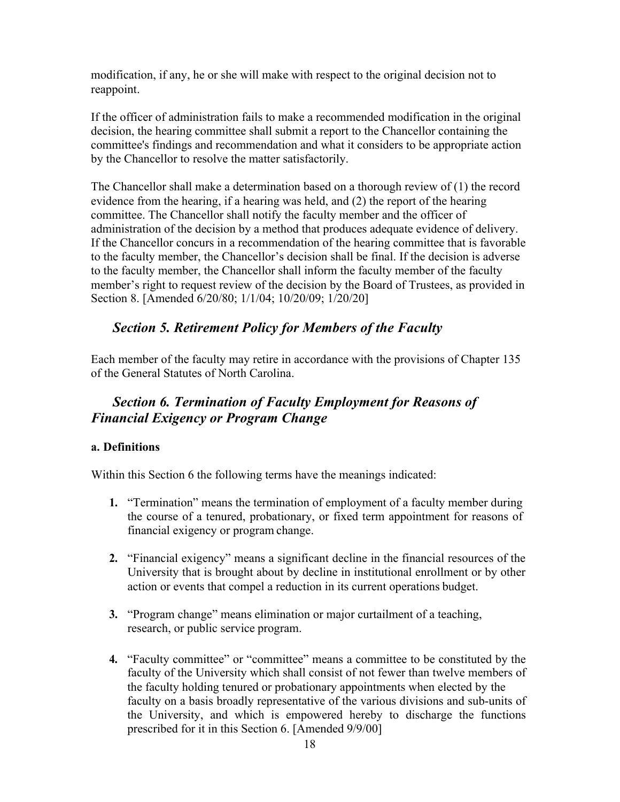modification, if any, he or she will make with respect to the original decision not to reappoint.

If the officer of administration fails to make a recommended modification in the original decision, the hearing committee shall submit a report to the Chancellor containing the committee's findings and recommendation and what it considers to be appropriate action by the Chancellor to resolve the matter satisfactorily.

The Chancellor shall make a determination based on a thorough review of (1) the record evidence from the hearing, if a hearing was held, and (2) the report of the hearing committee. The Chancellor shall notify the faculty member and the officer of administration of the decision by a method that produces adequate evidence of delivery. If the Chancellor concurs in a recommendation of the hearing committee that is favorable to the faculty member, the Chancellor's decision shall be final. If the decision is adverse to the faculty member, the Chancellor shall inform the faculty member of the faculty member's right to request review of the decision by the Board of Trustees, as provided in Section 8. [Amended 6/20/80; 1/1/04; 10/20/09; 1/20/20]

## *Section 5. Retirement Policy for Members of the Faculty*

Each member of the faculty may retire in accordance with the provisions of Chapter 135 of the General Statutes of North Carolina.

## *Section 6. Termination of Faculty Employment for Reasons of Financial Exigency or Program Change*

## **a. Definitions**

Within this Section 6 the following terms have the meanings indicated:

- **1.** "Termination" means the termination of employment of a faculty member during the course of a tenured, probationary, or fixed term appointment for reasons of financial exigency or program change.
- **2.** "Financial exigency" means a significant decline in the financial resources of the University that is brought about by decline in institutional enrollment or by other action or events that compel a reduction in its current operations budget.
- **3.** "Program change" means elimination or major curtailment of a teaching, research, or public service program.
- **4.** "Faculty committee" or "committee" means a committee to be constituted by the faculty of the University which shall consist of not fewer than twelve members of the faculty holding tenured or probationary appointments when elected by the faculty on a basis broadly representative of the various divisions and sub-units of the University, and which is empowered hereby to discharge the functions prescribed for it in this Section 6. [Amended 9/9/00]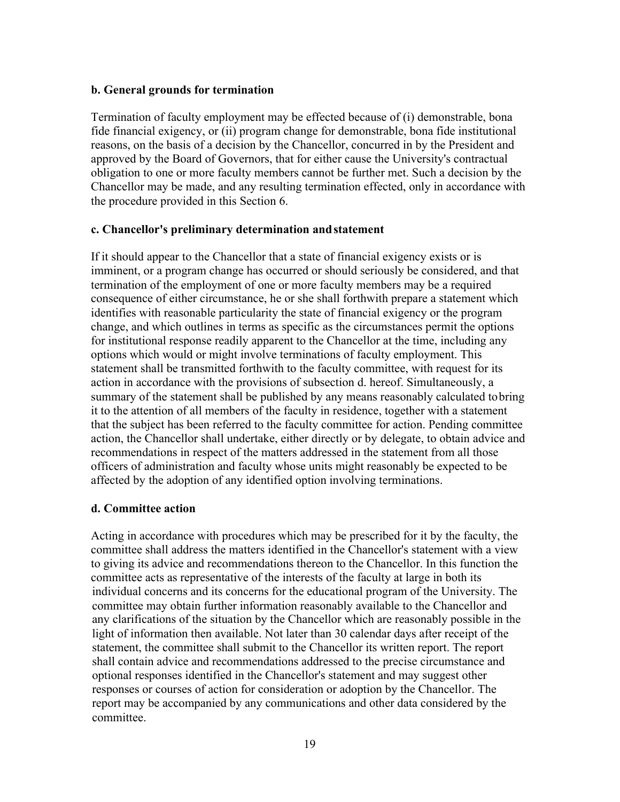#### **b. General grounds for termination**

Termination of faculty employment may be effected because of (i) demonstrable, bona fide financial exigency, or (ii) program change for demonstrable, bona fide institutional reasons, on the basis of a decision by the Chancellor, concurred in by the President and approved by the Board of Governors, that for either cause the University's contractual obligation to one or more faculty members cannot be further met. Such a decision by the Chancellor may be made, and any resulting termination effected, only in accordance with the procedure provided in this Section 6.

#### **c. Chancellor's preliminary determination andstatement**

If it should appear to the Chancellor that a state of financial exigency exists or is imminent, or a program change has occurred or should seriously be considered, and that termination of the employment of one or more faculty members may be a required consequence of either circumstance, he or she shall forthwith prepare a statement which identifies with reasonable particularity the state of financial exigency or the program change, and which outlines in terms as specific as the circumstances permit the options for institutional response readily apparent to the Chancellor at the time, including any options which would or might involve terminations of faculty employment. This statement shall be transmitted forthwith to the faculty committee, with request for its action in accordance with the provisions of subsection d. hereof. Simultaneously, a summary of the statement shall be published by any means reasonably calculated tobring it to the attention of all members of the faculty in residence, together with a statement that the subject has been referred to the faculty committee for action. Pending committee action, the Chancellor shall undertake, either directly or by delegate, to obtain advice and recommendations in respect of the matters addressed in the statement from all those officers of administration and faculty whose units might reasonably be expected to be affected by the adoption of any identified option involving terminations.

#### **d. Committee action**

Acting in accordance with procedures which may be prescribed for it by the faculty, the committee shall address the matters identified in the Chancellor's statement with a view to giving its advice and recommendations thereon to the Chancellor. In this function the committee acts as representative of the interests of the faculty at large in both its individual concerns and its concerns for the educational program of the University. The committee may obtain further information reasonably available to the Chancellor and any clarifications of the situation by the Chancellor which are reasonably possible in the light of information then available. Not later than 30 calendar days after receipt of the statement, the committee shall submit to the Chancellor its written report. The report shall contain advice and recommendations addressed to the precise circumstance and optional responses identified in the Chancellor's statement and may suggest other responses or courses of action for consideration or adoption by the Chancellor. The report may be accompanied by any communications and other data considered by the committee.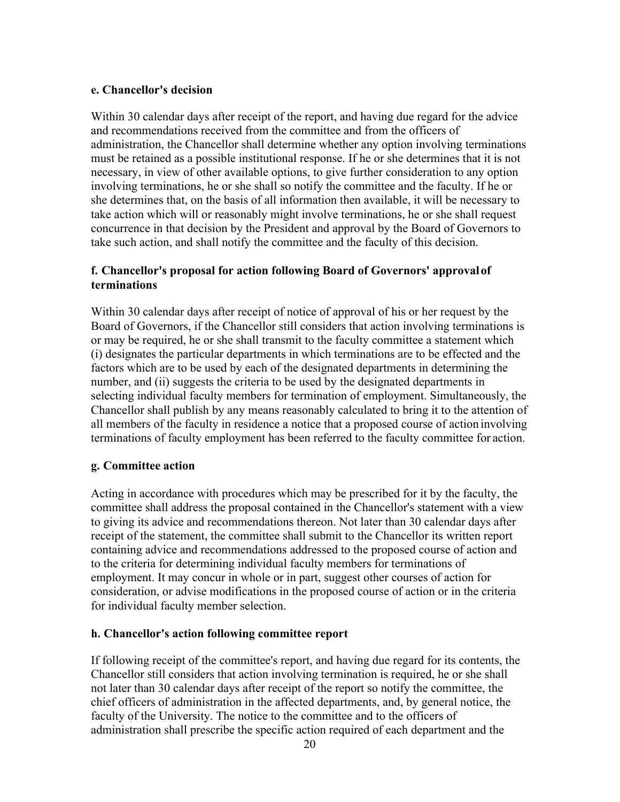#### **e. Chancellor's decision**

Within 30 calendar days after receipt of the report, and having due regard for the advice and recommendations received from the committee and from the officers of administration, the Chancellor shall determine whether any option involving terminations must be retained as a possible institutional response. If he or she determines that it is not necessary, in view of other available options, to give further consideration to any option involving terminations, he or she shall so notify the committee and the faculty. If he or she determines that, on the basis of all information then available, it will be necessary to take action which will or reasonably might involve terminations, he or she shall request concurrence in that decision by the President and approval by the Board of Governors to take such action, and shall notify the committee and the faculty of this decision.

## **f. Chancellor's proposal for action following Board of Governors' approvalof terminations**

Within 30 calendar days after receipt of notice of approval of his or her request by the Board of Governors, if the Chancellor still considers that action involving terminations is or may be required, he or she shall transmit to the faculty committee a statement which (i) designates the particular departments in which terminations are to be effected and the factors which are to be used by each of the designated departments in determining the number, and (ii) suggests the criteria to be used by the designated departments in selecting individual faculty members for termination of employment. Simultaneously, the Chancellor shall publish by any means reasonably calculated to bring it to the attention of all members of the faculty in residence a notice that a proposed course of action involving terminations of faculty employment has been referred to the faculty committee for action.

#### **g. Committee action**

Acting in accordance with procedures which may be prescribed for it by the faculty, the committee shall address the proposal contained in the Chancellor's statement with a view to giving its advice and recommendations thereon. Not later than 30 calendar days after receipt of the statement, the committee shall submit to the Chancellor its written report containing advice and recommendations addressed to the proposed course of action and to the criteria for determining individual faculty members for terminations of employment. It may concur in whole or in part, suggest other courses of action for consideration, or advise modifications in the proposed course of action or in the criteria for individual faculty member selection.

#### **h. Chancellor's action following committee report**

If following receipt of the committee's report, and having due regard for its contents, the Chancellor still considers that action involving termination is required, he or she shall not later than 30 calendar days after receipt of the report so notify the committee, the chief officers of administration in the affected departments, and, by general notice, the faculty of the University. The notice to the committee and to the officers of administration shall prescribe the specific action required of each department and the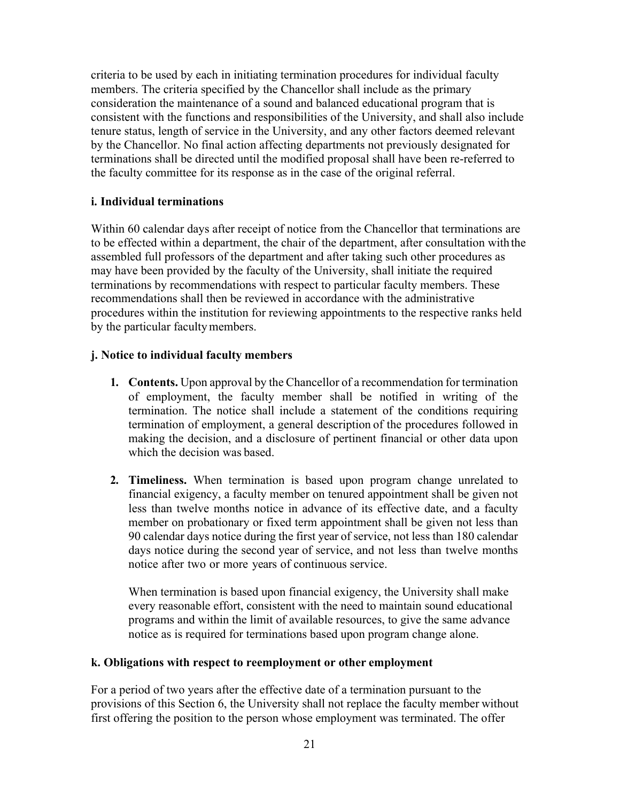criteria to be used by each in initiating termination procedures for individual faculty members. The criteria specified by the Chancellor shall include as the primary consideration the maintenance of a sound and balanced educational program that is consistent with the functions and responsibilities of the University, and shall also include tenure status, length of service in the University, and any other factors deemed relevant by the Chancellor. No final action affecting departments not previously designated for terminations shall be directed until the modified proposal shall have been re-referred to the faculty committee for its response as in the case of the original referral.

## **i. Individual terminations**

Within 60 calendar days after receipt of notice from the Chancellor that terminations are to be effected within a department, the chair of the department, after consultation withthe assembled full professors of the department and after taking such other procedures as may have been provided by the faculty of the University, shall initiate the required terminations by recommendations with respect to particular faculty members. These recommendations shall then be reviewed in accordance with the administrative procedures within the institution for reviewing appointments to the respective ranks held by the particular faculty members.

## **j. Notice to individual faculty members**

- **1. Contents.** Upon approval by the Chancellor of a recommendation for termination of employment, the faculty member shall be notified in writing of the termination. The notice shall include a statement of the conditions requiring termination of employment, a general description of the procedures followed in making the decision, and a disclosure of pertinent financial or other data upon which the decision was based.
- **2. Timeliness.** When termination is based upon program change unrelated to financial exigency, a faculty member on tenured appointment shall be given not less than twelve months notice in advance of its effective date, and a faculty member on probationary or fixed term appointment shall be given not less than 90 calendar days notice during the first year of service, not less than 180 calendar days notice during the second year of service, and not less than twelve months notice after two or more years of continuous service.

When termination is based upon financial exigency, the University shall make every reasonable effort, consistent with the need to maintain sound educational programs and within the limit of available resources, to give the same advance notice as is required for terminations based upon program change alone.

#### **k. Obligations with respect to reemployment or other employment**

For a period of two years after the effective date of a termination pursuant to the provisions of this Section 6, the University shall not replace the faculty member without first offering the position to the person whose employment was terminated. The offer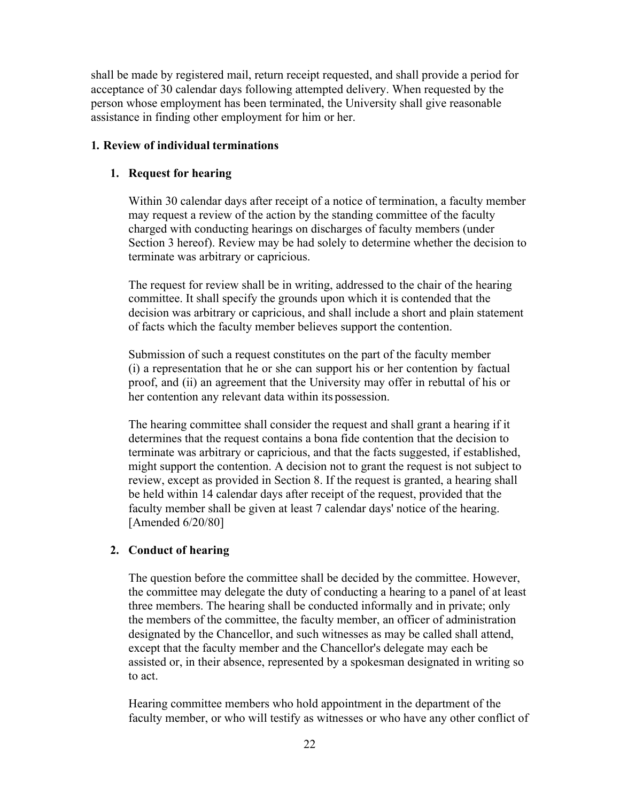shall be made by registered mail, return receipt requested, and shall provide a period for acceptance of 30 calendar days following attempted delivery. When requested by the person whose employment has been terminated, the University shall give reasonable assistance in finding other employment for him or her.

#### **1. Review of individual terminations**

#### **1. Request for hearing**

Within 30 calendar days after receipt of a notice of termination, a faculty member may request a review of the action by the standing committee of the faculty charged with conducting hearings on discharges of faculty members (under Section 3 hereof). Review may be had solely to determine whether the decision to terminate was arbitrary or capricious.

The request for review shall be in writing, addressed to the chair of the hearing committee. It shall specify the grounds upon which it is contended that the decision was arbitrary or capricious, and shall include a short and plain statement of facts which the faculty member believes support the contention.

Submission of such a request constitutes on the part of the faculty member (i) a representation that he or she can support his or her contention by factual proof, and (ii) an agreement that the University may offer in rebuttal of his or her contention any relevant data within its possession.

The hearing committee shall consider the request and shall grant a hearing if it determines that the request contains a bona fide contention that the decision to terminate was arbitrary or capricious, and that the facts suggested, if established, might support the contention. A decision not to grant the request is not subject to review, except as provided in Section 8. If the request is granted, a hearing shall be held within 14 calendar days after receipt of the request, provided that the faculty member shall be given at least 7 calendar days' notice of the hearing. [Amended 6/20/80]

#### **2. Conduct of hearing**

The question before the committee shall be decided by the committee. However, the committee may delegate the duty of conducting a hearing to a panel of at least three members. The hearing shall be conducted informally and in private; only the members of the committee, the faculty member, an officer of administration designated by the Chancellor, and such witnesses as may be called shall attend, except that the faculty member and the Chancellor's delegate may each be assisted or, in their absence, represented by a spokesman designated in writing so to act.

Hearing committee members who hold appointment in the department of the faculty member, or who will testify as witnesses or who have any other conflict of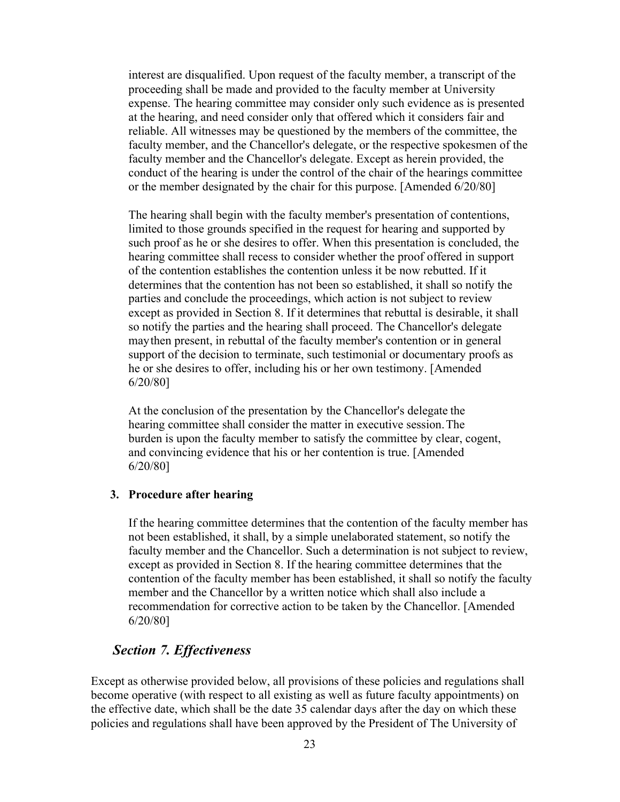interest are disqualified. Upon request of the faculty member, a transcript of the proceeding shall be made and provided to the faculty member at University expense. The hearing committee may consider only such evidence as is presented at the hearing, and need consider only that offered which it considers fair and reliable. All witnesses may be questioned by the members of the committee, the faculty member, and the Chancellor's delegate, or the respective spokesmen of the faculty member and the Chancellor's delegate. Except as herein provided, the conduct of the hearing is under the control of the chair of the hearings committee or the member designated by the chair for this purpose. [Amended 6/20/80]

The hearing shall begin with the faculty member's presentation of contentions, limited to those grounds specified in the request for hearing and supported by such proof as he or she desires to offer. When this presentation is concluded, the hearing committee shall recess to consider whether the proof offered in support of the contention establishes the contention unless it be now rebutted. If it determines that the contention has not been so established, it shall so notify the parties and conclude the proceedings, which action is not subject to review except as provided in Section 8. If it determines that rebuttal is desirable, it shall so notify the parties and the hearing shall proceed. The Chancellor's delegate maythen present, in rebuttal of the faculty member's contention or in general support of the decision to terminate, such testimonial or documentary proofs as he or she desires to offer, including his or her own testimony. [Amended 6/20/80]

At the conclusion of the presentation by the Chancellor's delegate the hearing committee shall consider the matter in executive session.The burden is upon the faculty member to satisfy the committee by clear, cogent, and convincing evidence that his or her contention is true. [Amended 6/20/80]

#### **3. Procedure after hearing**

If the hearing committee determines that the contention of the faculty member has not been established, it shall, by a simple unelaborated statement, so notify the faculty member and the Chancellor. Such a determination is not subject to review, except as provided in Section 8. If the hearing committee determines that the contention of the faculty member has been established, it shall so notify the faculty member and the Chancellor by a written notice which shall also include a recommendation for corrective action to be taken by the Chancellor. [Amended 6/20/80]

### *Section 7. Effectiveness*

Except as otherwise provided below, all provisions of these policies and regulations shall become operative (with respect to all existing as well as future faculty appointments) on the effective date, which shall be the date 35 calendar days after the day on which these policies and regulations shall have been approved by the President of The University of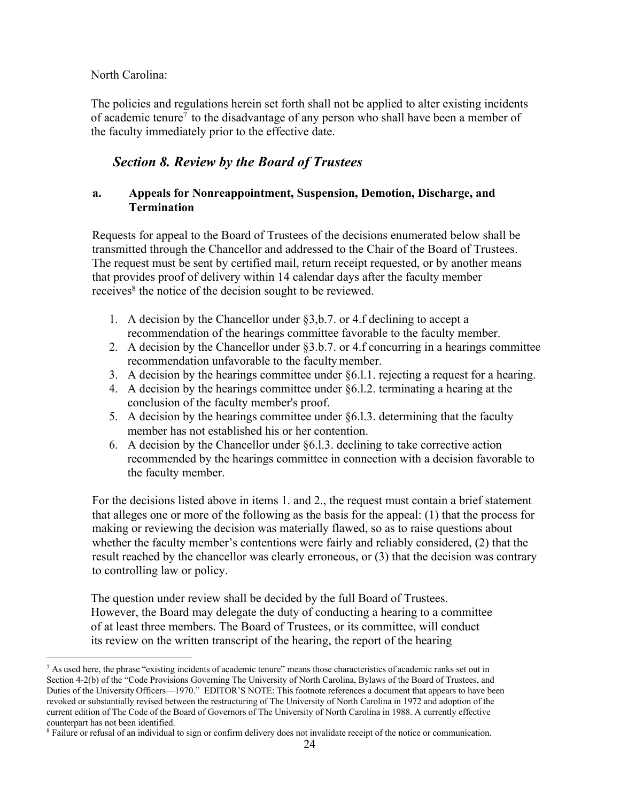### North Carolina:

The policies and regulations herein set forth shall not be applied to alter existing incidents of academic tenure<sup>7</sup> to the disadvantage of any person who shall have been a member of the faculty immediately prior to the effective date.

## *Section 8. Review by the Board of Trustees*

## **a. Appeals for Nonreappointment, Suspension, Demotion, Discharge, and Termination**

Requests for appeal to the Board of Trustees of the decisions enumerated below shall be transmitted through the Chancellor and addressed to the Chair of the Board of Trustees. The request must be sent by certified mail, return receipt requested, or by another means that provides proof of delivery within 14 calendar days after the faculty member receives<sup>8</sup> the notice of the decision sought to be reviewed.

- 1. A decision by the Chancellor under §3,b.7. or 4.f declining to accept a recommendation of the hearings committee favorable to the faculty member.
- 2. A decision by the Chancellor under §3.b.7. or 4.f concurring in a hearings committee recommendation unfavorable to the facultymember.
- 3. A decision by the hearings committee under §6.l.1. rejecting a request for a hearing.
- 4. A decision by the hearings committee under §6.l.2. terminating a hearing at the conclusion of the faculty member's proof.
- 5. A decision by the hearings committee under  $\S6.1.3$ . determining that the faculty member has not established his or her contention.
- 6. A decision by the Chancellor under  $\S6.1.3$ . declining to take corrective action recommended by the hearings committee in connection with a decision favorable to the faculty member.

For the decisions listed above in items 1. and 2., the request must contain a brief statement that alleges one or more of the following as the basis for the appeal: (1) that the process for making or reviewing the decision was materially flawed, so as to raise questions about whether the faculty member's contentions were fairly and reliably considered, (2) that the result reached by the chancellor was clearly erroneous, or (3) that the decision was contrary to controlling law or policy.

The question under review shall be decided by the full Board of Trustees. However, the Board may delegate the duty of conducting a hearing to a committee of at least three members. The Board of Trustees, or its committee, will conduct its review on the written transcript of the hearing, the report of the hearing

<sup>&</sup>lt;sup>7</sup> As used here, the phrase "existing incidents of academic tenure" means those characteristics of academic ranks set out in Section 4-2(b) of the "Code Provisions Governing The University of North Carolina, Bylaws of the Board of Trustees, and Duties of the University Officers—1970." EDITOR'S NOTE: This footnote references a document that appears to have been revoked or substantially revised between the restructuring of The University of North Carolina in 1972 and adoption of the current edition of The Code of the Board of Governors of The University of North Carolina in 1988. A currently effective counterpart has not been identified.

<sup>8</sup> Failure or refusal of an individual to sign or confirm delivery does not invalidate receipt of the notice or communication.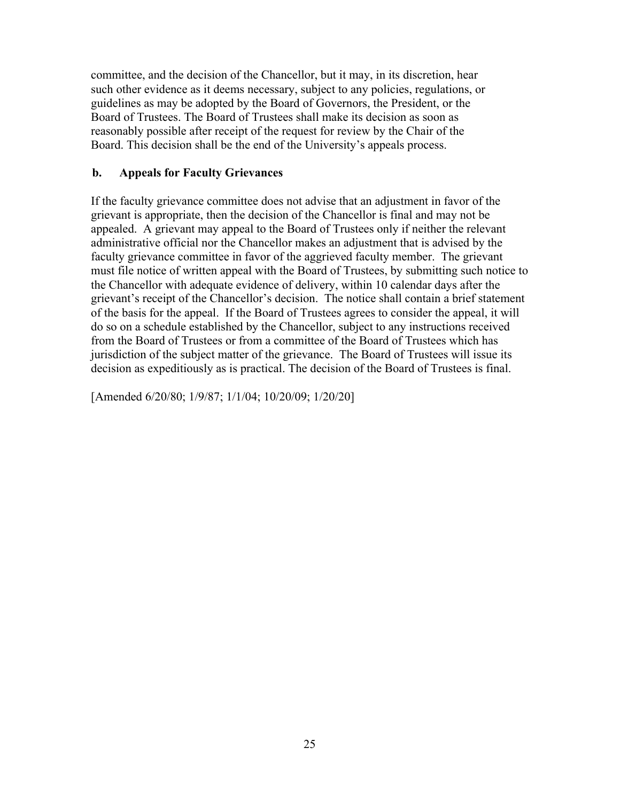committee, and the decision of the Chancellor, but it may, in its discretion, hear such other evidence as it deems necessary, subject to any policies, regulations, or guidelines as may be adopted by the Board of Governors, the President, or the Board of Trustees. The Board of Trustees shall make its decision as soon as reasonably possible after receipt of the request for review by the Chair of the Board. This decision shall be the end of the University's appeals process.

## **b. Appeals for Faculty Grievances**

If the faculty grievance committee does not advise that an adjustment in favor of the grievant is appropriate, then the decision of the Chancellor is final and may not be appealed. A grievant may appeal to the Board of Trustees only if neither the relevant administrative official nor the Chancellor makes an adjustment that is advised by the faculty grievance committee in favor of the aggrieved faculty member. The grievant must file notice of written appeal with the Board of Trustees, by submitting such notice to the Chancellor with adequate evidence of delivery, within 10 calendar days after the grievant's receipt of the Chancellor's decision. The notice shall contain a brief statement of the basis for the appeal. If the Board of Trustees agrees to consider the appeal, it will do so on a schedule established by the Chancellor, subject to any instructions received from the Board of Trustees or from a committee of the Board of Trustees which has jurisdiction of the subject matter of the grievance. The Board of Trustees will issue its decision as expeditiously as is practical. The decision of the Board of Trustees is final.

[Amended 6/20/80; 1/9/87; 1/1/04; 10/20/09; 1/20/20]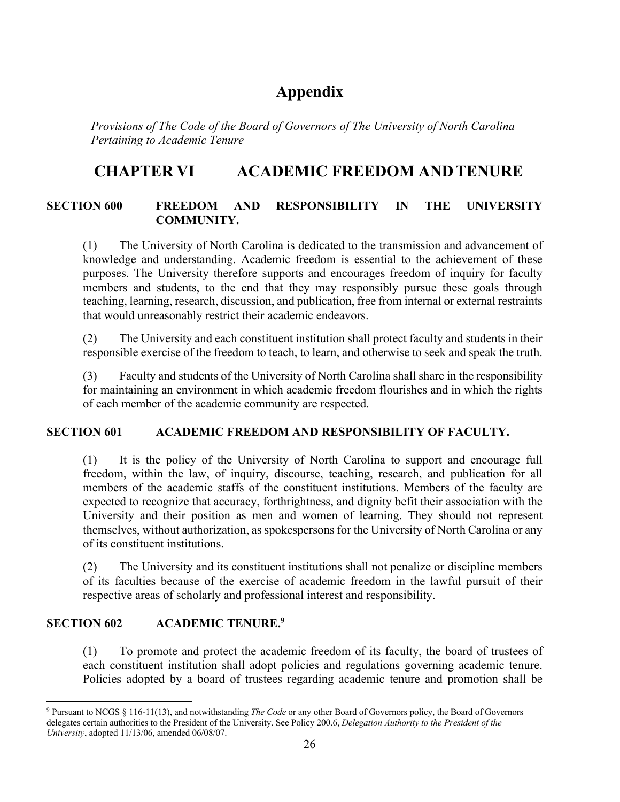# **Appendix**

*Provisions of The Code of the Board of Governors of The University of North Carolina Pertaining to Academic Tenure*

# **CHAPTER VI ACADEMIC FREEDOM ANDTENURE**

## **SECTION 600 FREEDOM AND RESPONSIBILITY IN THE UNIVERSITY COMMUNITY.**

(1) The University of North Carolina is dedicated to the transmission and advancement of knowledge and understanding. Academic freedom is essential to the achievement of these purposes. The University therefore supports and encourages freedom of inquiry for faculty members and students, to the end that they may responsibly pursue these goals through teaching, learning, research, discussion, and publication, free from internal or external restraints that would unreasonably restrict their academic endeavors.

(2) The University and each constituent institution shall protect faculty and students in their responsible exercise of the freedom to teach, to learn, and otherwise to seek and speak the truth.

(3) Faculty and students of the University of North Carolina shall share in the responsibility for maintaining an environment in which academic freedom flourishes and in which the rights of each member of the academic community are respected.

## **SECTION 601 ACADEMIC FREEDOM AND RESPONSIBILITY OF FACULTY.**

(1) It is the policy of the University of North Carolina to support and encourage full freedom, within the law, of inquiry, discourse, teaching, research, and publication for all members of the academic staffs of the constituent institutions. Members of the faculty are expected to recognize that accuracy, forthrightness, and dignity befit their association with the University and their position as men and women of learning. They should not represent themselves, without authorization, as spokespersons for the University of North Carolina or any of its constituent institutions.

(2) The University and its constituent institutions shall not penalize or discipline members of its faculties because of the exercise of academic freedom in the lawful pursuit of their respective areas of scholarly and professional interest and responsibility.

## **SECTION 602 ACADEMIC TENURE.9**

(1) To promote and protect the academic freedom of its faculty, the board of trustees of each constituent institution shall adopt policies and regulations governing academic tenure. Policies adopted by a board of trustees regarding academic tenure and promotion shall be

<sup>9</sup> Pursuant to NCGS § 116-11(13), and notwithstanding *The Code* or any other Board of Governors policy, the Board of Governors delegates certain authorities to the President of the University. See Policy 200.6, *Delegation Authority to the President of the University*, adopted 11/13/06, amended 06/08/07.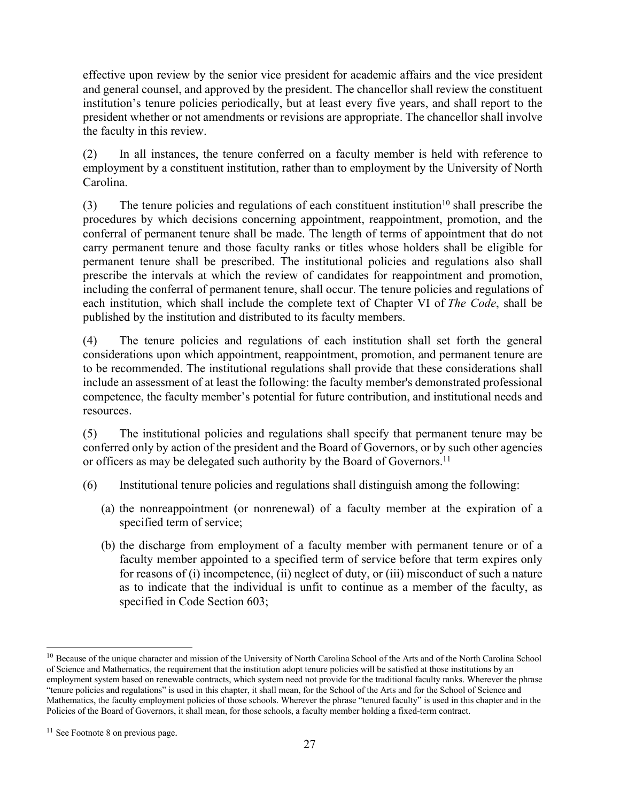effective upon review by the senior vice president for academic affairs and the vice president and general counsel, and approved by the president. The chancellor shall review the constituent institution's tenure policies periodically, but at least every five years, and shall report to the president whether or not amendments or revisions are appropriate. The chancellor shall involve the faculty in this review.

(2) In all instances, the tenure conferred on a faculty member is held with reference to employment by a constituent institution, rather than to employment by the University of North Carolina.

(3) The tenure policies and regulations of each constituent institution<sup>10</sup> shall prescribe the procedures by which decisions concerning appointment, reappointment, promotion, and the conferral of permanent tenure shall be made. The length of terms of appointment that do not carry permanent tenure and those faculty ranks or titles whose holders shall be eligible for permanent tenure shall be prescribed. The institutional policies and regulations also shall prescribe the intervals at which the review of candidates for reappointment and promotion, including the conferral of permanent tenure, shall occur. The tenure policies and regulations of each institution, which shall include the complete text of Chapter VI of *The Code*, shall be published by the institution and distributed to its faculty members.

(4) The tenure policies and regulations of each institution shall set forth the general considerations upon which appointment, reappointment, promotion, and permanent tenure are to be recommended. The institutional regulations shall provide that these considerations shall include an assessment of at least the following: the faculty member's demonstrated professional competence, the faculty member's potential for future contribution, and institutional needs and resources.

(5) The institutional policies and regulations shall specify that permanent tenure may be conferred only by action of the president and the Board of Governors, or by such other agencies or officers as may be delegated such authority by the Board of Governors.<sup>11</sup>

- (6) Institutional tenure policies and regulations shall distinguish among the following:
	- (a) the nonreappointment (or nonrenewal) of a faculty member at the expiration of a specified term of service;
	- (b) the discharge from employment of a faculty member with permanent tenure or of a faculty member appointed to a specified term of service before that term expires only for reasons of (i) incompetence, (ii) neglect of duty, or (iii) misconduct of such a nature as to indicate that the individual is unfit to continue as a member of the faculty, as specified in Code Section 603;

<sup>&</sup>lt;sup>10</sup> Because of the unique character and mission of the University of North Carolina School of the Arts and of the North Carolina School of Science and Mathematics, the requirement that the institution adopt tenure policies will be satisfied at those institutions by an employment system based on renewable contracts, which system need not provide for the traditional faculty ranks. Wherever the phrase "tenure policies and regulations" is used in this chapter, it shall mean, for the School of the Arts and for the School of Science and Mathematics, the faculty employment policies of those schools. Wherever the phrase "tenured faculty" is used in this chapter and in the Policies of the Board of Governors, it shall mean, for those schools, a faculty member holding a fixed-term contract.

 $11$  See Footnote 8 on previous page.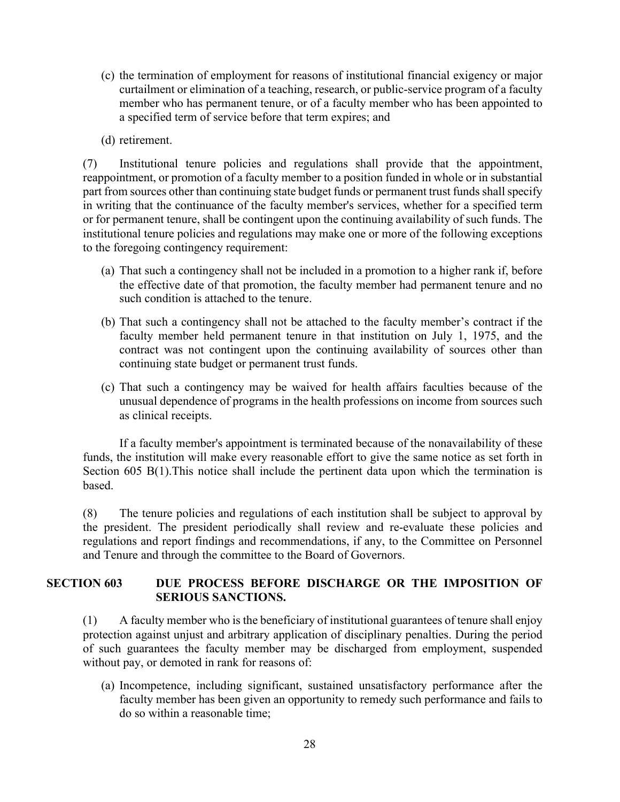- (c) the termination of employment for reasons of institutional financial exigency or major curtailment or elimination of a teaching, research, or public-service program of a faculty member who has permanent tenure, or of a faculty member who has been appointed to a specified term of service before that term expires; and
- (d) retirement.

(7) Institutional tenure policies and regulations shall provide that the appointment, reappointment, or promotion of a faculty member to a position funded in whole or in substantial part from sources other than continuing state budget funds or permanent trust funds shall specify in writing that the continuance of the faculty member's services, whether for a specified term or for permanent tenure, shall be contingent upon the continuing availability of such funds. The institutional tenure policies and regulations may make one or more of the following exceptions to the foregoing contingency requirement:

- (a) That such a contingency shall not be included in a promotion to a higher rank if, before the effective date of that promotion, the faculty member had permanent tenure and no such condition is attached to the tenure.
- (b) That such a contingency shall not be attached to the faculty member's contract if the faculty member held permanent tenure in that institution on July 1, 1975, and the contract was not contingent upon the continuing availability of sources other than continuing state budget or permanent trust funds.
- (c) That such a contingency may be waived for health affairs faculties because of the unusual dependence of programs in the health professions on income from sources such as clinical receipts.

If a faculty member's appointment is terminated because of the nonavailability of these funds, the institution will make every reasonable effort to give the same notice as set forth in Section 605 B(1).This notice shall include the pertinent data upon which the termination is based.

(8) The tenure policies and regulations of each institution shall be subject to approval by the president. The president periodically shall review and re-evaluate these policies and regulations and report findings and recommendations, if any, to the Committee on Personnel and Tenure and through the committee to the Board of Governors.

### **SECTION 603 DUE PROCESS BEFORE DISCHARGE OR THE IMPOSITION OF SERIOUS SANCTIONS.**

(1) A faculty member who is the beneficiary of institutional guarantees of tenure shall enjoy protection against unjust and arbitrary application of disciplinary penalties. During the period of such guarantees the faculty member may be discharged from employment, suspended without pay, or demoted in rank for reasons of:

(a) Incompetence, including significant, sustained unsatisfactory performance after the faculty member has been given an opportunity to remedy such performance and fails to do so within a reasonable time;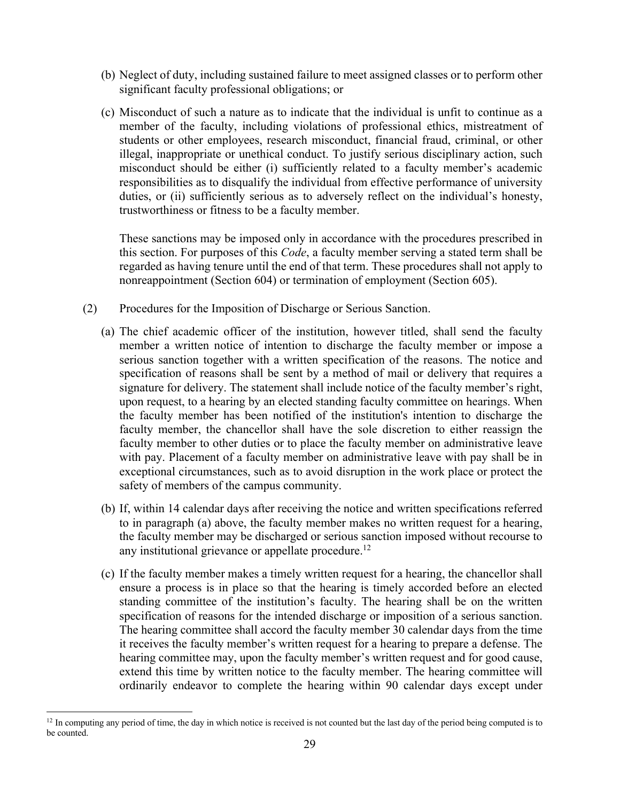- (b) Neglect of duty, including sustained failure to meet assigned classes or to perform other significant faculty professional obligations; or
- (c) Misconduct of such a nature as to indicate that the individual is unfit to continue as a member of the faculty, including violations of professional ethics, mistreatment of students or other employees, research misconduct, financial fraud, criminal, or other illegal, inappropriate or unethical conduct. To justify serious disciplinary action, such misconduct should be either (i) sufficiently related to a faculty member's academic responsibilities as to disqualify the individual from effective performance of university duties, or (ii) sufficiently serious as to adversely reflect on the individual's honesty, trustworthiness or fitness to be a faculty member.

These sanctions may be imposed only in accordance with the procedures prescribed in this section. For purposes of this *Code*, a faculty member serving a stated term shall be regarded as having tenure until the end of that term. These procedures shall not apply to nonreappointment (Section 604) or termination of employment (Section 605).

- (2) Procedures for the Imposition of Discharge or Serious Sanction.
	- (a) The chief academic officer of the institution, however titled, shall send the faculty member a written notice of intention to discharge the faculty member or impose a serious sanction together with a written specification of the reasons. The notice and specification of reasons shall be sent by a method of mail or delivery that requires a signature for delivery. The statement shall include notice of the faculty member's right, upon request, to a hearing by an elected standing faculty committee on hearings. When the faculty member has been notified of the institution's intention to discharge the faculty member, the chancellor shall have the sole discretion to either reassign the faculty member to other duties or to place the faculty member on administrative leave with pay. Placement of a faculty member on administrative leave with pay shall be in exceptional circumstances, such as to avoid disruption in the work place or protect the safety of members of the campus community.
	- (b) If, within 14 calendar days after receiving the notice and written specifications referred to in paragraph (a) above, the faculty member makes no written request for a hearing, the faculty member may be discharged or serious sanction imposed without recourse to any institutional grievance or appellate procedure.<sup>12</sup>
	- (c) If the faculty member makes a timely written request for a hearing, the chancellor shall ensure a process is in place so that the hearing is timely accorded before an elected standing committee of the institution's faculty. The hearing shall be on the written specification of reasons for the intended discharge or imposition of a serious sanction. The hearing committee shall accord the faculty member 30 calendar days from the time it receives the faculty member's written request for a hearing to prepare a defense. The hearing committee may, upon the faculty member's written request and for good cause, extend this time by written notice to the faculty member. The hearing committee will ordinarily endeavor to complete the hearing within 90 calendar days except under

<sup>&</sup>lt;sup>12</sup> In computing any period of time, the day in which notice is received is not counted but the last day of the period being computed is to be counted.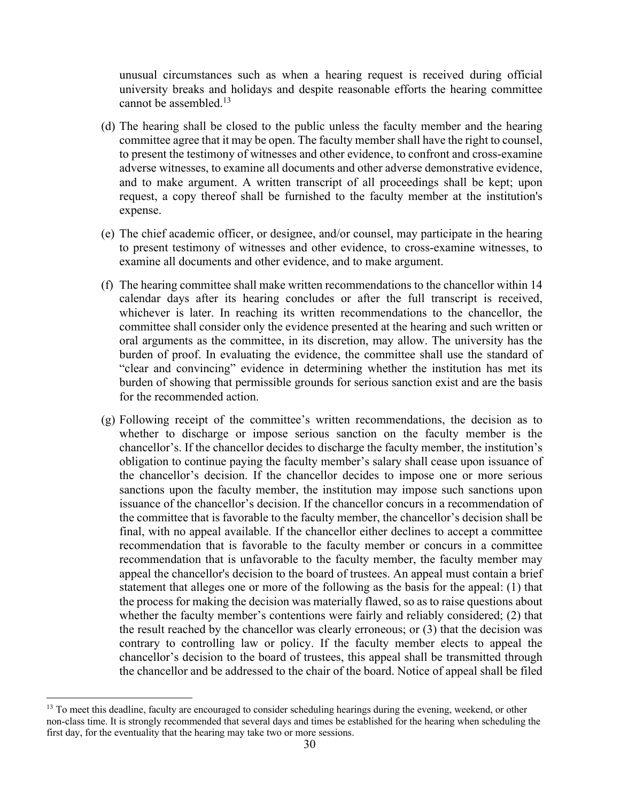unusual circumstances such as when a hearing request is received during official university breaks and holidays and despite reasonable efforts the hearing committee cannot be assembled. 13

- (d) The hearing shall be closed to the public unless the faculty member and the hearing committee agree that it may be open. The faculty member shall have the right to counsel, to present the testimony of witnesses and other evidence, to confront and cross-examine adverse witnesses, to examine all documents and other adverse demonstrative evidence, and to make argument. A written transcript of all proceedings shall be kept; upon request, a copy thereof shall be furnished to the faculty member at the institution's expense.
- (e) The chief academic officer, or designee, and/or counsel, may participate in the hearing to present testimony of witnesses and other evidence, to cross-examine witnesses, to examine all documents and other evidence, and to make argument.
- (f) The hearing committee shall make written recommendations to the chancellor within 14 calendar days after its hearing concludes or after the full transcript is received, whichever is later. In reaching its written recommendations to the chancellor, the committee shall consider only the evidence presented at the hearing and such written or oral arguments as the committee, in its discretion, may allow. The university has the burden of proof. In evaluating the evidence, the committee shall use the standard of "clear and convincing" evidence in determining whether the institution has met its burden of showing that permissible grounds for serious sanction exist and are the basis for the recommended action.
- (g) Following receipt of the committee's written recommendations, the decision as to whether to discharge or impose serious sanction on the faculty member is the chancellor's. If the chancellor decides to discharge the faculty member, the institution's obligation to continue paying the faculty member's salary shall cease upon issuance of the chancellor's decision. If the chancellor decides to impose one or more serious sanctions upon the faculty member, the institution may impose such sanctions upon issuance of the chancellor's decision. If the chancellor concurs in a recommendation of the committee that is favorable to the faculty member, the chancellor's decision shall be final, with no appeal available. If the chancellor either declines to accept a committee recommendation that is favorable to the faculty member or concurs in a committee recommendation that is unfavorable to the faculty member, the faculty member may appeal the chancellor's decision to the board of trustees. An appeal must contain a brief statement that alleges one or more of the following as the basis for the appeal: (1) that the process for making the decision was materially flawed, so as to raise questions about whether the faculty member's contentions were fairly and reliably considered; (2) that the result reached by the chancellor was clearly erroneous; or (3) that the decision was contrary to controlling law or policy. If the faculty member elects to appeal the chancellor's decision to the board of trustees, this appeal shall be transmitted through the chancellor and be addressed to the chair of the board. Notice of appeal shall be filed

<sup>&</sup>lt;sup>13</sup> To meet this deadline, faculty are encouraged to consider scheduling hearings during the evening, weekend, or other non-class time. It is strongly recommended that several days and times be established for the hearing when scheduling the first day, for the eventuality that the hearing may take two or more sessions.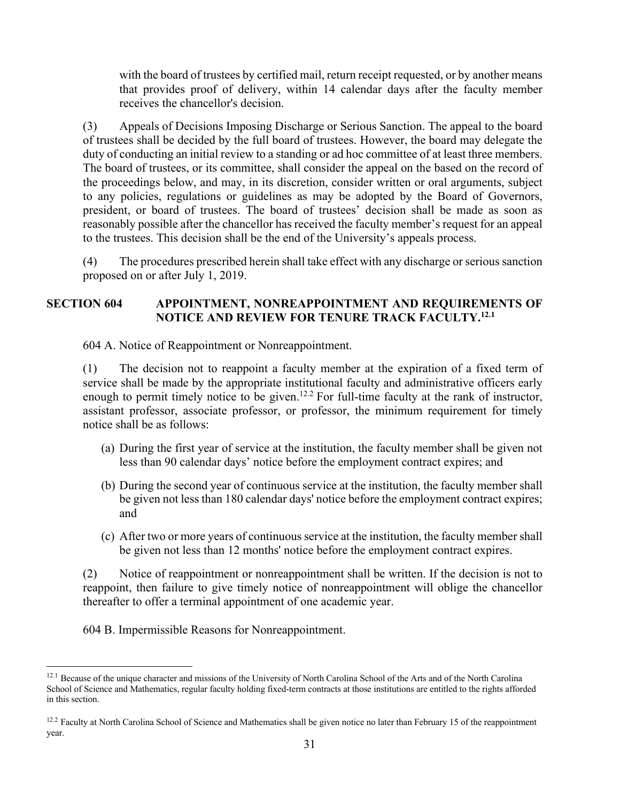with the board of trustees by certified mail, return receipt requested, or by another means that provides proof of delivery, within 14 calendar days after the faculty member receives the chancellor's decision.

(3) Appeals of Decisions Imposing Discharge or Serious Sanction. The appeal to the board of trustees shall be decided by the full board of trustees. However, the board may delegate the duty of conducting an initial review to a standing or ad hoc committee of at least three members. The board of trustees, or its committee, shall consider the appeal on the based on the record of the proceedings below, and may, in its discretion, consider written or oral arguments, subject to any policies, regulations or guidelines as may be adopted by the Board of Governors, president, or board of trustees. The board of trustees' decision shall be made as soon as reasonably possible after the chancellor has received the faculty member's request for an appeal to the trustees. This decision shall be the end of the University's appeals process.

(4) The procedures prescribed herein shall take effect with any discharge or serious sanction proposed on or after July 1, 2019.

## **SECTION 604 APPOINTMENT, NONREAPPOINTMENT AND REQUIREMENTS OF NOTICE AND REVIEW FOR TENURE TRACK FACULTY.12.1**

604 A. Notice of Reappointment or Nonreappointment.

(1) The decision not to reappoint a faculty member at the expiration of a fixed term of service shall be made by the appropriate institutional faculty and administrative officers early enough to permit timely notice to be given.<sup>12.2</sup> For full-time faculty at the rank of instructor, assistant professor, associate professor, or professor, the minimum requirement for timely notice shall be as follows:

- (a) During the first year of service at the institution, the faculty member shall be given not less than 90 calendar days' notice before the employment contract expires; and
- (b) During the second year of continuous service at the institution, the faculty member shall be given not less than 180 calendar days' notice before the employment contract expires; and
- (c) After two or more years of continuous service at the institution, the faculty member shall be given not less than 12 months' notice before the employment contract expires.

(2) Notice of reappointment or nonreappointment shall be written. If the decision is not to reappoint, then failure to give timely notice of nonreappointment will oblige the chancellor thereafter to offer a terminal appointment of one academic year.

604 B. Impermissible Reasons for Nonreappointment.

<sup>&</sup>lt;sup>12.1</sup> Because of the unique character and missions of the University of North Carolina School of the Arts and of the North Carolina School of Science and Mathematics, regular faculty holding fixed-term contracts at those institutions are entitled to the rights afforded in this section.

<sup>&</sup>lt;sup>12.2</sup> Faculty at North Carolina School of Science and Mathematics shall be given notice no later than February 15 of the reappointment year.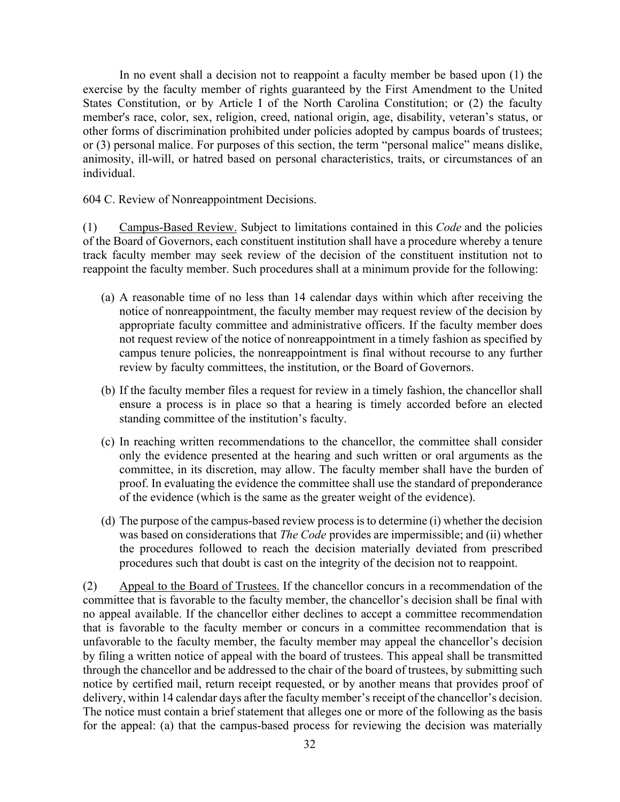In no event shall a decision not to reappoint a faculty member be based upon (1) the exercise by the faculty member of rights guaranteed by the First Amendment to the United States Constitution, or by Article I of the North Carolina Constitution; or (2) the faculty member's race, color, sex, religion, creed, national origin, age, disability, veteran's status, or other forms of discrimination prohibited under policies adopted by campus boards of trustees; or (3) personal malice. For purposes of this section, the term "personal malice" means dislike, animosity, ill-will, or hatred based on personal characteristics, traits, or circumstances of an individual.

604 C. Review of Nonreappointment Decisions.

(1) Campus-Based Review. Subject to limitations contained in this *Code* and the policies of the Board of Governors, each constituent institution shall have a procedure whereby a tenure track faculty member may seek review of the decision of the constituent institution not to reappoint the faculty member. Such procedures shall at a minimum provide for the following:

- (a) A reasonable time of no less than 14 calendar days within which after receiving the notice of nonreappointment, the faculty member may request review of the decision by appropriate faculty committee and administrative officers. If the faculty member does not request review of the notice of nonreappointment in a timely fashion as specified by campus tenure policies, the nonreappointment is final without recourse to any further review by faculty committees, the institution, or the Board of Governors.
- (b) If the faculty member files a request for review in a timely fashion, the chancellor shall ensure a process is in place so that a hearing is timely accorded before an elected standing committee of the institution's faculty.
- (c) In reaching written recommendations to the chancellor, the committee shall consider only the evidence presented at the hearing and such written or oral arguments as the committee, in its discretion, may allow. The faculty member shall have the burden of proof. In evaluating the evidence the committee shall use the standard of preponderance of the evidence (which is the same as the greater weight of the evidence).
- (d) The purpose of the campus-based review process is to determine (i) whether the decision was based on considerations that *The Code* provides are impermissible; and (ii) whether the procedures followed to reach the decision materially deviated from prescribed procedures such that doubt is cast on the integrity of the decision not to reappoint.

(2) Appeal to the Board of Trustees. If the chancellor concurs in a recommendation of the committee that is favorable to the faculty member, the chancellor's decision shall be final with no appeal available. If the chancellor either declines to accept a committee recommendation that is favorable to the faculty member or concurs in a committee recommendation that is unfavorable to the faculty member, the faculty member may appeal the chancellor's decision by filing a written notice of appeal with the board of trustees. This appeal shall be transmitted through the chancellor and be addressed to the chair of the board of trustees, by submitting such notice by certified mail, return receipt requested, or by another means that provides proof of delivery, within 14 calendar days after the faculty member's receipt of the chancellor's decision. The notice must contain a brief statement that alleges one or more of the following as the basis for the appeal: (a) that the campus-based process for reviewing the decision was materially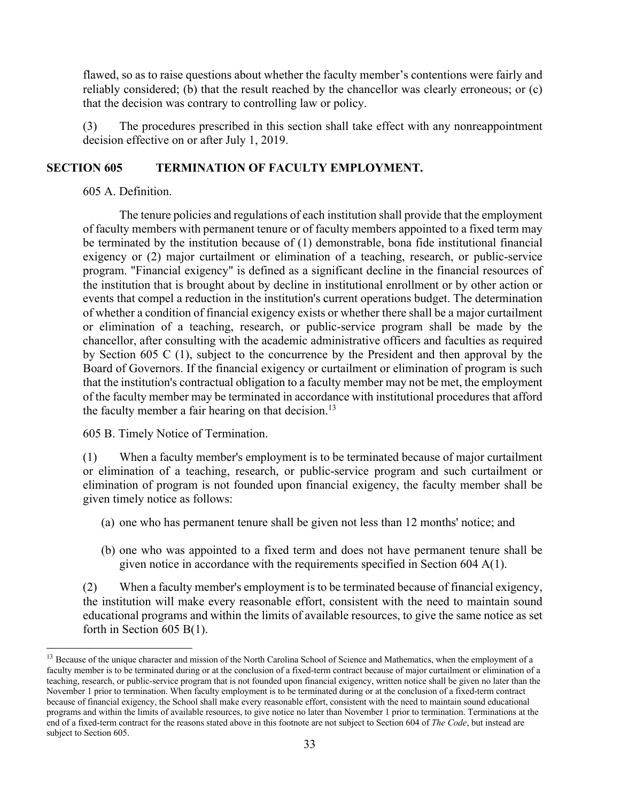flawed, so as to raise questions about whether the faculty member's contentions were fairly and reliably considered; (b) that the result reached by the chancellor was clearly erroneous; or (c) that the decision was contrary to controlling law or policy.

(3) The procedures prescribed in this section shall take effect with any nonreappointment decision effective on or after July 1, 2019.

## **SECTION 605 TERMINATION OF FACULTY EMPLOYMENT.**

605 A. Definition.

The tenure policies and regulations of each institution shall provide that the employment of faculty members with permanent tenure or of faculty members appointed to a fixed term may be terminated by the institution because of (1) demonstrable, bona fide institutional financial exigency or (2) major curtailment or elimination of a teaching, research, or public-service program. "Financial exigency" is defined as a significant decline in the financial resources of the institution that is brought about by decline in institutional enrollment or by other action or events that compel a reduction in the institution's current operations budget. The determination of whether a condition of financial exigency exists or whether there shall be a major curtailment or elimination of a teaching, research, or public-service program shall be made by the chancellor, after consulting with the academic administrative officers and faculties as required by Section 605 C (1), subject to the concurrence by the President and then approval by the Board of Governors. If the financial exigency or curtailment or elimination of program is such that the institution's contractual obligation to a faculty member may not be met, the employment of the faculty member may be terminated in accordance with institutional procedures that afford the faculty member a fair hearing on that decision.<sup>13</sup>

605 B. Timely Notice of Termination.

(1) When a faculty member's employment is to be terminated because of major curtailment or elimination of a teaching, research, or public-service program and such curtailment or elimination of program is not founded upon financial exigency, the faculty member shall be given timely notice as follows:

- (a) one who has permanent tenure shall be given not less than 12 months' notice; and
- (b) one who was appointed to a fixed term and does not have permanent tenure shall be given notice in accordance with the requirements specified in Section 604 A(1).

(2) When a faculty member's employment is to be terminated because of financial exigency, the institution will make every reasonable effort, consistent with the need to maintain sound educational programs and within the limits of available resources, to give the same notice as set forth in Section 605 B(1).

<sup>&</sup>lt;sup>13</sup> Because of the unique character and mission of the North Carolina School of Science and Mathematics, when the employment of a faculty member is to be terminated during or at the conclusion of a fixed-term contract because of major curtailment or elimination of a teaching, research, or public-service program that is not founded upon financial exigency, written notice shall be given no later than the November 1 prior to termination. When faculty employment is to be terminated during or at the conclusion of a fixed-term contract because of financial exigency, the School shall make every reasonable effort, consistent with the need to maintain sound educational programs and within the limits of available resources, to give notice no later than November 1 prior to termination. Terminations at the end of a fixed-term contract for the reasons stated above in this footnote are not subject to Section 604 of *The Code*, but instead are subject to Section 605.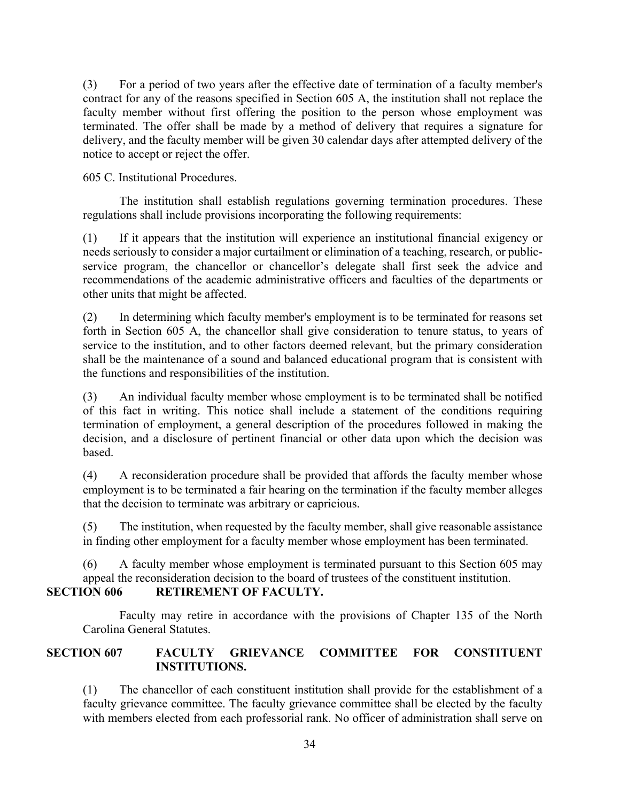(3) For a period of two years after the effective date of termination of a faculty member's contract for any of the reasons specified in Section 605 A, the institution shall not replace the faculty member without first offering the position to the person whose employment was terminated. The offer shall be made by a method of delivery that requires a signature for delivery, and the faculty member will be given 30 calendar days after attempted delivery of the notice to accept or reject the offer.

605 C. Institutional Procedures.

The institution shall establish regulations governing termination procedures. These regulations shall include provisions incorporating the following requirements:

(1) If it appears that the institution will experience an institutional financial exigency or needs seriously to consider a major curtailment or elimination of a teaching, research, or publicservice program, the chancellor or chancellor's delegate shall first seek the advice and recommendations of the academic administrative officers and faculties of the departments or other units that might be affected.

(2) In determining which faculty member's employment is to be terminated for reasons set forth in Section 605 A, the chancellor shall give consideration to tenure status, to years of service to the institution, and to other factors deemed relevant, but the primary consideration shall be the maintenance of a sound and balanced educational program that is consistent with the functions and responsibilities of the institution.

(3) An individual faculty member whose employment is to be terminated shall be notified of this fact in writing. This notice shall include a statement of the conditions requiring termination of employment, a general description of the procedures followed in making the decision, and a disclosure of pertinent financial or other data upon which the decision was based.

(4) A reconsideration procedure shall be provided that affords the faculty member whose employment is to be terminated a fair hearing on the termination if the faculty member alleges that the decision to terminate was arbitrary or capricious.

(5) The institution, when requested by the faculty member, shall give reasonable assistance in finding other employment for a faculty member whose employment has been terminated.

(6) A faculty member whose employment is terminated pursuant to this Section 605 may appeal the reconsideration decision to the board of trustees of the constituent institution.

## **SECTION 606 RETIREMENT OF FACULTY.**

Faculty may retire in accordance with the provisions of Chapter 135 of the North Carolina General Statutes.

## **SECTION 607 FACULTY GRIEVANCE COMMITTEE FOR CONSTITUENT INSTITUTIONS.**

(1) The chancellor of each constituent institution shall provide for the establishment of a faculty grievance committee. The faculty grievance committee shall be elected by the faculty with members elected from each professorial rank. No officer of administration shall serve on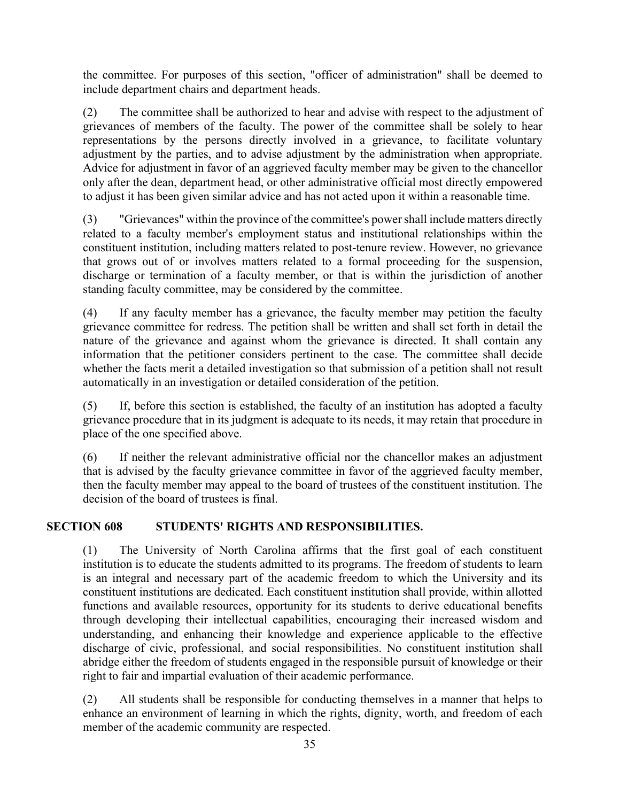the committee. For purposes of this section, "officer of administration" shall be deemed to include department chairs and department heads.

(2) The committee shall be authorized to hear and advise with respect to the adjustment of grievances of members of the faculty. The power of the committee shall be solely to hear representations by the persons directly involved in a grievance, to facilitate voluntary adjustment by the parties, and to advise adjustment by the administration when appropriate. Advice for adjustment in favor of an aggrieved faculty member may be given to the chancellor only after the dean, department head, or other administrative official most directly empowered to adjust it has been given similar advice and has not acted upon it within a reasonable time.

(3) "Grievances" within the province of the committee's power shall include matters directly related to a faculty member's employment status and institutional relationships within the constituent institution, including matters related to post-tenure review. However, no grievance that grows out of or involves matters related to a formal proceeding for the suspension, discharge or termination of a faculty member, or that is within the jurisdiction of another standing faculty committee, may be considered by the committee.

(4) If any faculty member has a grievance, the faculty member may petition the faculty grievance committee for redress. The petition shall be written and shall set forth in detail the nature of the grievance and against whom the grievance is directed. It shall contain any information that the petitioner considers pertinent to the case. The committee shall decide whether the facts merit a detailed investigation so that submission of a petition shall not result automatically in an investigation or detailed consideration of the petition.

(5) If, before this section is established, the faculty of an institution has adopted a faculty grievance procedure that in its judgment is adequate to its needs, it may retain that procedure in place of the one specified above.

(6) If neither the relevant administrative official nor the chancellor makes an adjustment that is advised by the faculty grievance committee in favor of the aggrieved faculty member, then the faculty member may appeal to the board of trustees of the constituent institution. The decision of the board of trustees is final.

## **SECTION 608 STUDENTS' RIGHTS AND RESPONSIBILITIES.**

(1) The University of North Carolina affirms that the first goal of each constituent institution is to educate the students admitted to its programs. The freedom of students to learn is an integral and necessary part of the academic freedom to which the University and its constituent institutions are dedicated. Each constituent institution shall provide, within allotted functions and available resources, opportunity for its students to derive educational benefits through developing their intellectual capabilities, encouraging their increased wisdom and understanding, and enhancing their knowledge and experience applicable to the effective discharge of civic, professional, and social responsibilities. No constituent institution shall abridge either the freedom of students engaged in the responsible pursuit of knowledge or their right to fair and impartial evaluation of their academic performance.

(2) All students shall be responsible for conducting themselves in a manner that helps to enhance an environment of learning in which the rights, dignity, worth, and freedom of each member of the academic community are respected.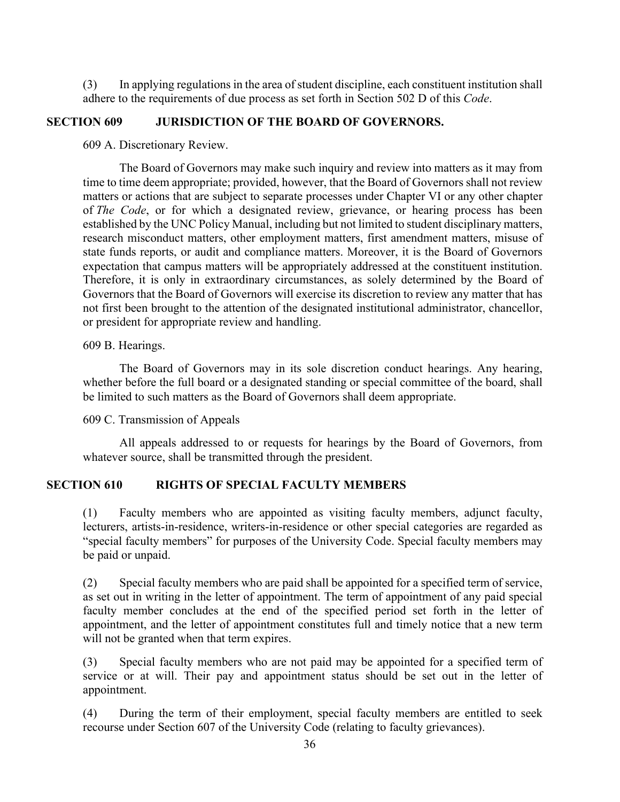(3) In applying regulations in the area of student discipline, each constituent institution shall adhere to the requirements of due process as set forth in Section 502 D of this *Code*.

#### **SECTION 609 JURISDICTION OF THE BOARD OF GOVERNORS.**

609 A. Discretionary Review.

The Board of Governors may make such inquiry and review into matters as it may from time to time deem appropriate; provided, however, that the Board of Governors shall not review matters or actions that are subject to separate processes under Chapter VI or any other chapter of *The Code*, or for which a designated review, grievance, or hearing process has been established by the UNC Policy Manual, including but not limited to student disciplinary matters, research misconduct matters, other employment matters, first amendment matters, misuse of state funds reports, or audit and compliance matters. Moreover, it is the Board of Governors expectation that campus matters will be appropriately addressed at the constituent institution. Therefore, it is only in extraordinary circumstances, as solely determined by the Board of Governors that the Board of Governors will exercise its discretion to review any matter that has not first been brought to the attention of the designated institutional administrator, chancellor, or president for appropriate review and handling.

609 B. Hearings.

The Board of Governors may in its sole discretion conduct hearings. Any hearing, whether before the full board or a designated standing or special committee of the board, shall be limited to such matters as the Board of Governors shall deem appropriate.

609 C. Transmission of Appeals

All appeals addressed to or requests for hearings by the Board of Governors, from whatever source, shall be transmitted through the president.

#### **SECTION 610 RIGHTS OF SPECIAL FACULTY MEMBERS**

(1) Faculty members who are appointed as visiting faculty members, adjunct faculty, lecturers, artists-in-residence, writers-in-residence or other special categories are regarded as "special faculty members" for purposes of the University Code. Special faculty members may be paid or unpaid.

(2) Special faculty members who are paid shall be appointed for a specified term of service, as set out in writing in the letter of appointment. The term of appointment of any paid special faculty member concludes at the end of the specified period set forth in the letter of appointment, and the letter of appointment constitutes full and timely notice that a new term will not be granted when that term expires.

(3) Special faculty members who are not paid may be appointed for a specified term of service or at will. Their pay and appointment status should be set out in the letter of appointment.

(4) During the term of their employment, special faculty members are entitled to seek recourse under Section 607 of the University Code (relating to faculty grievances).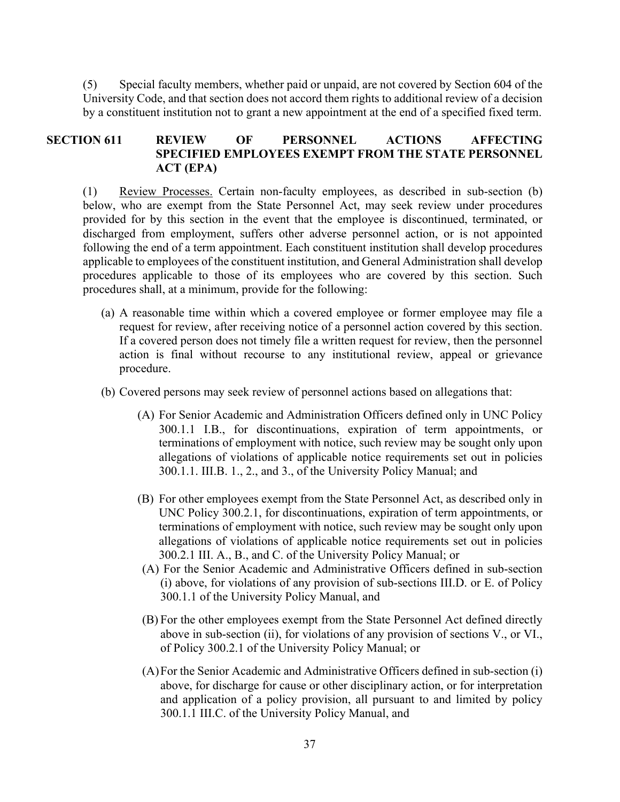(5) Special faculty members, whether paid or unpaid, are not covered by Section 604 of the University Code, and that section does not accord them rights to additional review of a decision by a constituent institution not to grant a new appointment at the end of a specified fixed term.

## **SECTION 611 REVIEW OF PERSONNEL ACTIONS AFFECTING SPECIFIED EMPLOYEES EXEMPT FROM THE STATE PERSONNEL ACT (EPA)**

(1) Review Processes. Certain non-faculty employees, as described in sub-section (b) below, who are exempt from the State Personnel Act, may seek review under procedures provided for by this section in the event that the employee is discontinued, terminated, or discharged from employment, suffers other adverse personnel action, or is not appointed following the end of a term appointment. Each constituent institution shall develop procedures applicable to employees of the constituent institution, and General Administration shall develop procedures applicable to those of its employees who are covered by this section. Such procedures shall, at a minimum, provide for the following:

- (a) A reasonable time within which a covered employee or former employee may file a request for review, after receiving notice of a personnel action covered by this section. If a covered person does not timely file a written request for review, then the personnel action is final without recourse to any institutional review, appeal or grievance procedure.
- (b) Covered persons may seek review of personnel actions based on allegations that:
	- (A) For Senior Academic and Administration Officers defined only in UNC Policy 300.1.1 I.B., for discontinuations, expiration of term appointments, or terminations of employment with notice, such review may be sought only upon allegations of violations of applicable notice requirements set out in policies 300.1.1. III.B. 1., 2., and 3., of the University Policy Manual; and
	- (B) For other employees exempt from the State Personnel Act, as described only in UNC Policy 300.2.1, for discontinuations, expiration of term appointments, or terminations of employment with notice, such review may be sought only upon allegations of violations of applicable notice requirements set out in policies 300.2.1 III. A., B., and C. of the University Policy Manual; or
	- (A) For the Senior Academic and Administrative Officers defined in sub-section (i) above, for violations of any provision of sub-sections III.D. or E. of Policy 300.1.1 of the University Policy Manual, and
	- (B) For the other employees exempt from the State Personnel Act defined directly above in sub-section (ii), for violations of any provision of sections V., or VI., of Policy 300.2.1 of the University Policy Manual; or
	- (A)For the Senior Academic and Administrative Officers defined in sub-section (i) above, for discharge for cause or other disciplinary action, or for interpretation and application of a policy provision, all pursuant to and limited by policy 300.1.1 III.C. of the University Policy Manual, and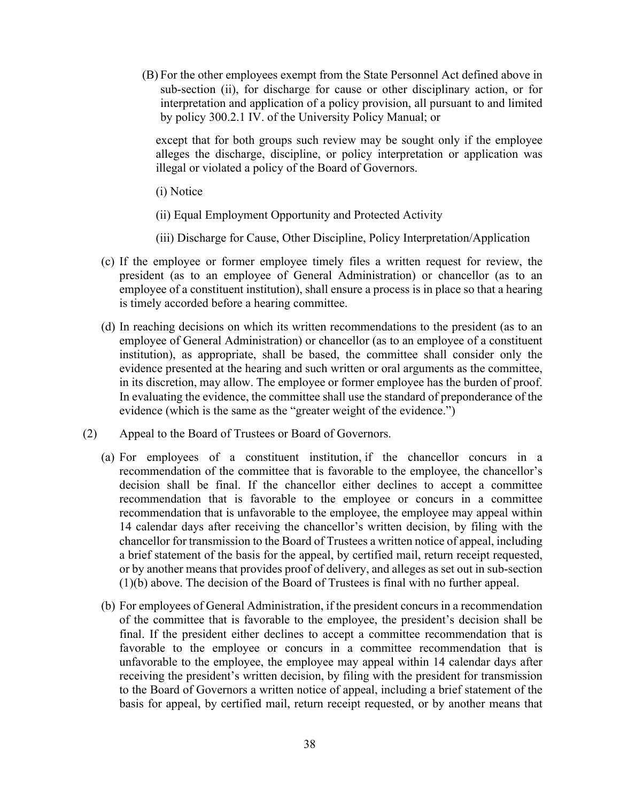(B) For the other employees exempt from the State Personnel Act defined above in sub-section (ii), for discharge for cause or other disciplinary action, or for interpretation and application of a policy provision, all pursuant to and limited by policy 300.2.1 IV. of the University Policy Manual; or

except that for both groups such review may be sought only if the employee alleges the discharge, discipline, or policy interpretation or application was illegal or violated a policy of the Board of Governors.

(i) Notice

(ii) Equal Employment Opportunity and Protected Activity

- (iii) Discharge for Cause, Other Discipline, Policy Interpretation/Application
- (c) If the employee or former employee timely files a written request for review, the president (as to an employee of General Administration) or chancellor (as to an employee of a constituent institution), shall ensure a process is in place so that a hearing is timely accorded before a hearing committee.
- (d) In reaching decisions on which its written recommendations to the president (as to an employee of General Administration) or chancellor (as to an employee of a constituent institution), as appropriate, shall be based, the committee shall consider only the evidence presented at the hearing and such written or oral arguments as the committee, in its discretion, may allow. The employee or former employee has the burden of proof. In evaluating the evidence, the committee shall use the standard of preponderance of the evidence (which is the same as the "greater weight of the evidence.")
- (2) Appeal to the Board of Trustees or Board of Governors.
	- (a) For employees of a constituent institution, if the chancellor concurs in a recommendation of the committee that is favorable to the employee, the chancellor's decision shall be final. If the chancellor either declines to accept a committee recommendation that is favorable to the employee or concurs in a committee recommendation that is unfavorable to the employee, the employee may appeal within 14 calendar days after receiving the chancellor's written decision, by filing with the chancellor for transmission to the Board of Trustees a written notice of appeal, including a brief statement of the basis for the appeal, by certified mail, return receipt requested, or by another means that provides proof of delivery, and alleges as set out in sub-section (1)(b) above. The decision of the Board of Trustees is final with no further appeal.
	- (b) For employees of General Administration, if the president concurs in a recommendation of the committee that is favorable to the employee, the president's decision shall be final. If the president either declines to accept a committee recommendation that is favorable to the employee or concurs in a committee recommendation that is unfavorable to the employee, the employee may appeal within 14 calendar days after receiving the president's written decision, by filing with the president for transmission to the Board of Governors a written notice of appeal, including a brief statement of the basis for appeal, by certified mail, return receipt requested, or by another means that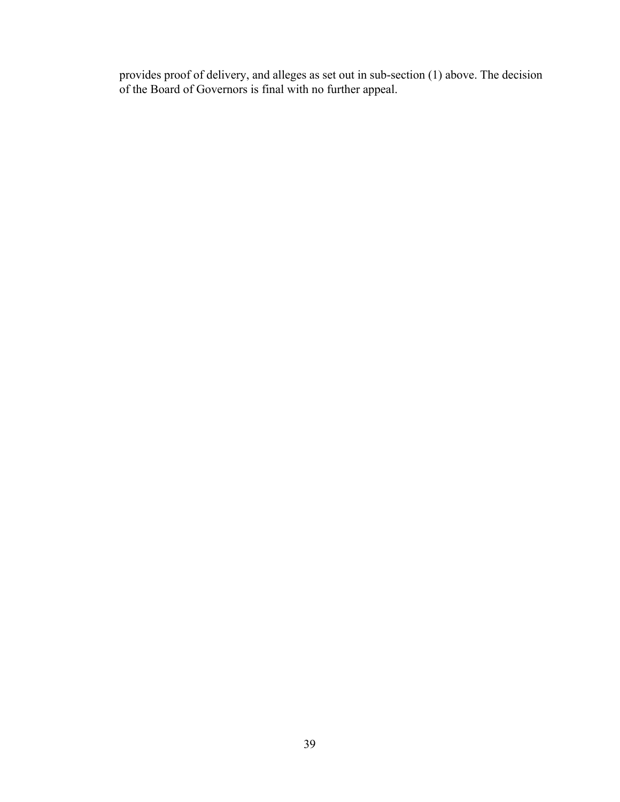provides proof of delivery, and alleges as set out in sub-section (1) above. The decision of the Board of Governors is final with no further appeal.